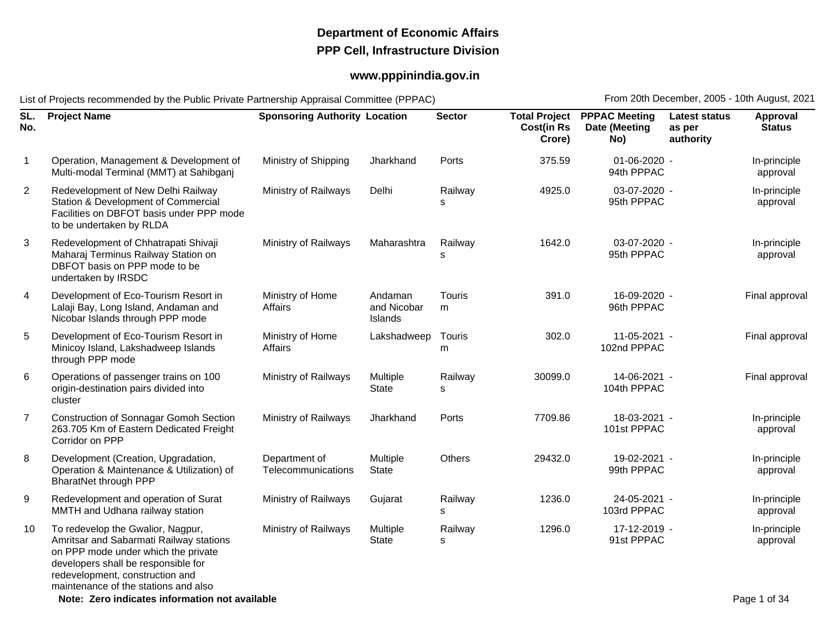## **Department of Economic AffairsPPP Cell, Infrastructure Division**

## **www.pppinindia.gov.in**

List of Projects recommended by the Public Private Partnership Appraisal Committee (PPPAC)

From 20th December, 2005 - 10th August, 2021

| SL.<br>No.     | <b>Project Name</b>                                                                                                                                                                                                                   | <b>Sponsoring Authority Location</b> |                                   | <b>Sector</b>      | <b>Cost(in Rs</b><br>Crore) | <b>Total Project PPPAC Meeting</b><br>Date (Meeting<br>No) | <b>Latest status</b><br>as per<br>authority | Approval<br><b>Status</b> |
|----------------|---------------------------------------------------------------------------------------------------------------------------------------------------------------------------------------------------------------------------------------|--------------------------------------|-----------------------------------|--------------------|-----------------------------|------------------------------------------------------------|---------------------------------------------|---------------------------|
| $\mathbf{1}$   | Operation, Management & Development of<br>Multi-modal Terminal (MMT) at Sahibganj                                                                                                                                                     | Ministry of Shipping                 | Jharkhand                         | Ports              | 375.59                      | 01-06-2020 -<br>94th PPPAC                                 |                                             | In-principle<br>approval  |
| $\overline{2}$ | Redevelopment of New Delhi Railway<br>Station & Development of Commercial<br>Facilities on DBFOT basis under PPP mode<br>to be undertaken by RLDA                                                                                     | Ministry of Railways                 | Delhi                             | Railway            | 4925.0                      | 03-07-2020 -<br>95th PPPAC                                 |                                             | In-principle<br>approval  |
| 3              | Redevelopment of Chhatrapati Shivaji<br>Maharaj Terminus Railway Station on<br>DBFOT basis on PPP mode to be<br>undertaken by IRSDC                                                                                                   | Ministry of Railways                 | Maharashtra                       | Railway<br>s       | 1642.0                      | 03-07-2020 -<br>95th PPPAC                                 |                                             | In-principle<br>approval  |
| 4              | Development of Eco-Tourism Resort in<br>Lalaji Bay, Long Island, Andaman and<br>Nicobar Islands through PPP mode                                                                                                                      | Ministry of Home<br>Affairs          | Andaman<br>and Nicobar<br>Islands | <b>Touris</b><br>m | 391.0                       | 16-09-2020 -<br>96th PPPAC                                 |                                             | Final approval            |
| 5              | Development of Eco-Tourism Resort in<br>Minicoy Island, Lakshadweep Islands<br>through PPP mode                                                                                                                                       | Ministry of Home<br>Affairs          | Lakshadweep                       | Touris<br>m        | 302.0                       | 11-05-2021 -<br>102nd PPPAC                                |                                             | Final approval            |
| 6              | Operations of passenger trains on 100<br>origin-destination pairs divided into<br>cluster                                                                                                                                             | Ministry of Railways                 | Multiple<br><b>State</b>          | Railway<br>s       | 30099.0                     | 14-06-2021 -<br>104th PPPAC                                |                                             | Final approval            |
| $\overline{7}$ | <b>Construction of Sonnagar Gomoh Section</b><br>263.705 Km of Eastern Dedicated Freight<br>Corridor on PPP                                                                                                                           | Ministry of Railways                 | Jharkhand                         | Ports              | 7709.86                     | 18-03-2021 -<br>101st PPPAC                                |                                             | In-principle<br>approval  |
| 8              | Development (Creation, Upgradation,<br>Operation & Maintenance & Utilization) of<br><b>BharatNet through PPP</b>                                                                                                                      | Department of<br>Telecommunications  | Multiple<br><b>State</b>          | <b>Others</b>      | 29432.0                     | 19-02-2021 -<br>99th PPPAC                                 |                                             | In-principle<br>approval  |
| 9              | Redevelopment and operation of Surat<br>MMTH and Udhana railway station                                                                                                                                                               | Ministry of Railways                 | Gujarat                           | Railway<br>s       | 1236.0                      | 24-05-2021 -<br>103rd PPPAC                                |                                             | In-principle<br>approval  |
| 10             | To redevelop the Gwalior, Nagpur,<br>Amritsar and Sabarmati Railway stations<br>on PPP mode under which the private<br>developers shall be responsible for<br>redevelopment, construction and<br>maintenance of the stations and also | Ministry of Railways                 | Multiple<br>State                 | Railway<br>s       | 1296.0                      | 17-12-2019 -<br>91st PPPAC                                 |                                             | In-principle<br>approval  |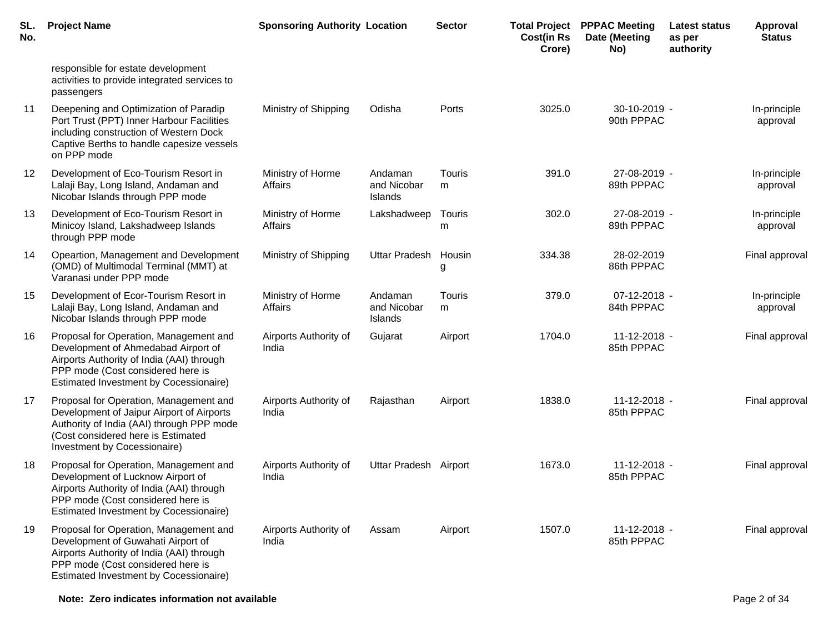| SL.<br>No. | <b>Project Name</b>                                                                                                                                                                                             | <b>Sponsoring Authority Location</b> |                                   | <b>Sector</b> | <b>Total Project</b><br><b>Cost(in Rs</b><br>Crore) | <b>PPPAC Meeting</b><br>Date (Meeting<br>No) | Latest status<br>as per<br>authority | <b>Approval</b><br><b>Status</b> |
|------------|-----------------------------------------------------------------------------------------------------------------------------------------------------------------------------------------------------------------|--------------------------------------|-----------------------------------|---------------|-----------------------------------------------------|----------------------------------------------|--------------------------------------|----------------------------------|
|            | responsible for estate development<br>activities to provide integrated services to<br>passengers                                                                                                                |                                      |                                   |               |                                                     |                                              |                                      |                                  |
| 11         | Deepening and Optimization of Paradip<br>Port Trust (PPT) Inner Harbour Facilities<br>including construction of Western Dock<br>Captive Berths to handle capesize vessels<br>on PPP mode                        | Ministry of Shipping                 | Odisha                            | Ports         | 3025.0                                              | $30-10-2019$ -<br>90th PPPAC                 |                                      | In-principle<br>approval         |
| 12         | Development of Eco-Tourism Resort in<br>Lalaji Bay, Long Island, Andaman and<br>Nicobar Islands through PPP mode                                                                                                | Ministry of Horme<br>Affairs         | Andaman<br>and Nicobar<br>Islands | Touris<br>m   | 391.0                                               | 27-08-2019 -<br>89th PPPAC                   |                                      | In-principle<br>approval         |
| 13         | Development of Eco-Tourism Resort in<br>Minicoy Island, Lakshadweep Islands<br>through PPP mode                                                                                                                 | Ministry of Horme<br>Affairs         | Lakshadweep                       | Touris<br>m   | 302.0                                               | 27-08-2019 -<br>89th PPPAC                   |                                      | In-principle<br>approval         |
| 14         | Opeartion, Management and Development<br>(OMD) of Multimodal Terminal (MMT) at<br>Varanasi under PPP mode                                                                                                       | Ministry of Shipping                 | <b>Uttar Pradesh</b>              | Housin<br>g   | 334.38                                              | 28-02-2019<br>86th PPPAC                     |                                      | Final approval                   |
| 15         | Development of Ecor-Tourism Resort in<br>Lalaji Bay, Long Island, Andaman and<br>Nicobar Islands through PPP mode                                                                                               | Ministry of Horme<br>Affairs         | Andaman<br>and Nicobar<br>Islands | Touris<br>m   | 379.0                                               | 07-12-2018 -<br>84th PPPAC                   |                                      | In-principle<br>approval         |
| 16         | Proposal for Operation, Management and<br>Development of Ahmedabad Airport of<br>Airports Authority of India (AAI) through<br>PPP mode (Cost considered here is<br>Estimated Investment by Cocessionaire)       | Airports Authority of<br>India       | Gujarat                           | Airport       | 1704.0                                              | 11-12-2018 -<br>85th PPPAC                   |                                      | Final approval                   |
| 17         | Proposal for Operation, Management and<br>Development of Jaipur Airport of Airports<br>Authority of India (AAI) through PPP mode<br>(Cost considered here is Estimated<br>Investment by Cocessionaire)          | Airports Authority of<br>India       | Rajasthan                         | Airport       | 1838.0                                              | 11-12-2018 -<br>85th PPPAC                   |                                      | Final approval                   |
| 18         | Proposal for Operation, Management and<br>Development of Lucknow Airport of<br>Airports Authority of India (AAI) through<br>PPP mode (Cost considered here is<br>Estimated Investment by Cocessionaire)         | Airports Authority of<br>India       | Uttar Pradesh Airport             |               | 1673.0                                              | 11-12-2018 -<br>85th PPPAC                   |                                      | Final approval                   |
| 19         | Proposal for Operation, Management and<br>Development of Guwahati Airport of<br>Airports Authority of India (AAI) through<br>PPP mode (Cost considered here is<br><b>Estimated Investment by Cocessionaire)</b> | Airports Authority of<br>India       | Assam                             | Airport       | 1507.0                                              | $11 - 12 - 2018 -$<br>85th PPPAC             |                                      | Final approval                   |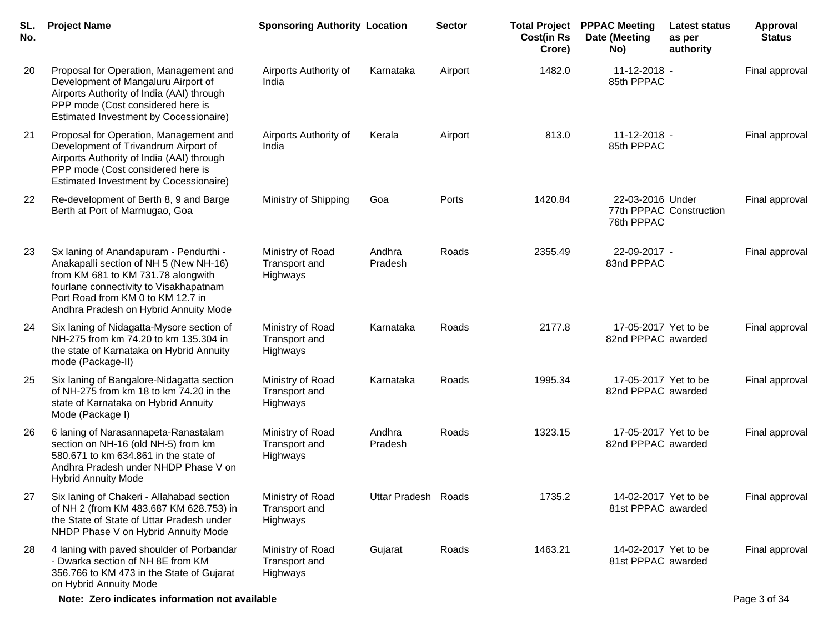| SL.<br>No. | <b>Project Name</b>                                                                                                                                                                                                                            | <b>Sponsoring Authority Location</b>          |                     | <b>Sector</b> | <b>Cost(in Rs</b><br>Crore) | <b>Total Project PPPAC Meeting</b><br>Date (Meeting<br>No) | <b>Latest status</b><br>as per<br>authority | Approval<br><b>Status</b> |
|------------|------------------------------------------------------------------------------------------------------------------------------------------------------------------------------------------------------------------------------------------------|-----------------------------------------------|---------------------|---------------|-----------------------------|------------------------------------------------------------|---------------------------------------------|---------------------------|
| 20         | Proposal for Operation, Management and<br>Development of Mangaluru Airport of<br>Airports Authority of India (AAI) through<br>PPP mode (Cost considered here is<br><b>Estimated Investment by Cocessionaire)</b>                               | Airports Authority of<br>India                | Karnataka           | Airport       | 1482.0                      | $11 - 12 - 2018 -$<br>85th PPPAC                           |                                             | Final approval            |
| 21         | Proposal for Operation, Management and<br>Development of Trivandrum Airport of<br>Airports Authority of India (AAI) through<br>PPP mode (Cost considered here is<br>Estimated Investment by Cocessionaire)                                     | Airports Authority of<br>India                | Kerala              | Airport       | 813.0                       | $11 - 12 - 2018 -$<br>85th PPPAC                           |                                             | Final approval            |
| 22         | Re-development of Berth 8, 9 and Barge<br>Berth at Port of Marmugao, Goa                                                                                                                                                                       | Ministry of Shipping                          | Goa                 | Ports         | 1420.84                     | 22-03-2016 Under<br>76th PPPAC                             | 77th PPPAC Construction                     | Final approval            |
| 23         | Sx laning of Anandapuram - Pendurthi -<br>Anakapalli section of NH 5 (New NH-16)<br>from KM 681 to KM 731.78 alongwith<br>fourlane connectivity to Visakhapatnam<br>Port Road from KM 0 to KM 12.7 in<br>Andhra Pradesh on Hybrid Annuity Mode | Ministry of Road<br>Transport and<br>Highways | Andhra<br>Pradesh   | Roads         | 2355.49                     | 22-09-2017 -<br>83nd PPPAC                                 |                                             | Final approval            |
| 24         | Six laning of Nidagatta-Mysore section of<br>NH-275 from km 74.20 to km 135.304 in<br>the state of Karnataka on Hybrid Annuity<br>mode (Package-II)                                                                                            | Ministry of Road<br>Transport and<br>Highways | Karnataka           | Roads         | 2177.8                      | 17-05-2017 Yet to be<br>82nd PPPAC awarded                 |                                             | Final approval            |
| 25         | Six laning of Bangalore-Nidagatta section<br>of NH-275 from km 18 to km 74.20 in the<br>state of Karnataka on Hybrid Annuity<br>Mode (Package I)                                                                                               | Ministry of Road<br>Transport and<br>Highways | Karnataka           | Roads         | 1995.34                     | 17-05-2017 Yet to be<br>82nd PPPAC awarded                 |                                             | Final approval            |
| 26         | 6 laning of Narasannapeta-Ranastalam<br>section on NH-16 (old NH-5) from km<br>580.671 to km 634.861 in the state of<br>Andhra Pradesh under NHDP Phase V on<br><b>Hybrid Annuity Mode</b>                                                     | Ministry of Road<br>Transport and<br>Highways | Andhra<br>Pradesh   | Roads         | 1323.15                     | 17-05-2017 Yet to be<br>82nd PPPAC awarded                 |                                             | Final approval            |
| 27         | Six laning of Chakeri - Allahabad section<br>of NH 2 (from KM 483.687 KM 628.753) in<br>the State of State of Uttar Pradesh under<br>NHDP Phase V on Hybrid Annuity Mode                                                                       | Ministry of Road<br>Transport and<br>Highways | Uttar Pradesh Roads |               | 1735.2                      | 14-02-2017 Yet to be<br>81st PPPAC awarded                 |                                             | Final approval            |
| 28         | 4 laning with paved shoulder of Porbandar<br>- Dwarka section of NH 8E from KM<br>356.766 to KM 473 in the State of Gujarat<br>on Hybrid Annuity Mode                                                                                          | Ministry of Road<br>Transport and<br>Highways | Gujarat             | Roads         | 1463.21                     | 14-02-2017 Yet to be<br>81st PPPAC awarded                 |                                             | Final approval            |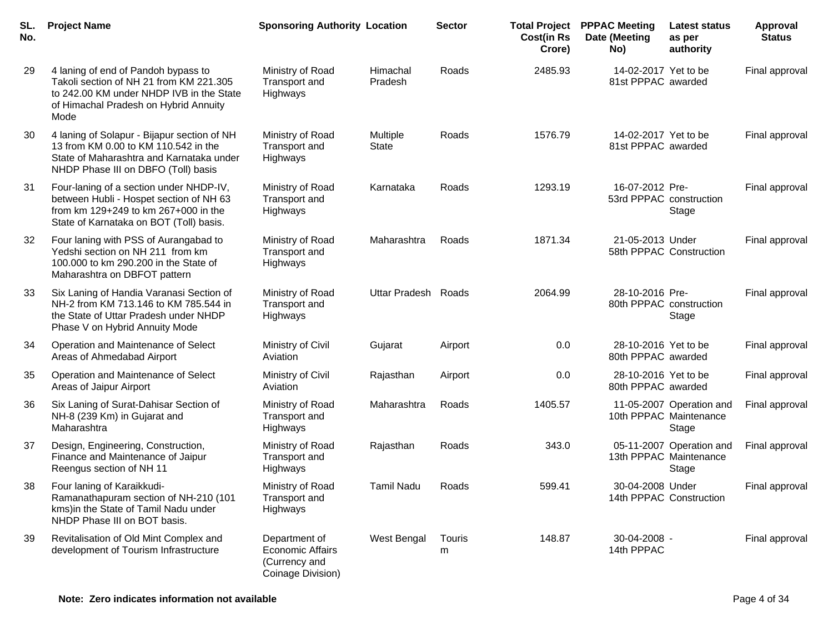| SL.<br>No. | <b>Project Name</b>                                                                                                                                                         | <b>Sponsoring Authority Location</b>                                           |                          | <b>Sector</b> | <b>Total Project</b><br><b>Cost(in Rs</b><br>Crore) | <b>PPPAC Meeting</b><br>Date (Meeting<br>No) | <b>Latest status</b><br>as per<br>authority                        | Approval<br><b>Status</b> |
|------------|-----------------------------------------------------------------------------------------------------------------------------------------------------------------------------|--------------------------------------------------------------------------------|--------------------------|---------------|-----------------------------------------------------|----------------------------------------------|--------------------------------------------------------------------|---------------------------|
| 29         | 4 laning of end of Pandoh bypass to<br>Takoli section of NH 21 from KM 221.305<br>to 242.00 KM under NHDP IVB in the State<br>of Himachal Pradesh on Hybrid Annuity<br>Mode | Ministry of Road<br>Transport and<br>Highways                                  | Himachal<br>Pradesh      | Roads         | 2485.93                                             | 14-02-2017 Yet to be<br>81st PPPAC awarded   |                                                                    | Final approval            |
| 30         | 4 laning of Solapur - Bijapur section of NH<br>13 from KM 0.00 to KM 110.542 in the<br>State of Maharashtra and Karnataka under<br>NHDP Phase III on DBFO (Toll) basis      | Ministry of Road<br>Transport and<br>Highways                                  | Multiple<br><b>State</b> | Roads         | 1576.79                                             | 14-02-2017 Yet to be<br>81st PPPAC awarded   |                                                                    | Final approval            |
| 31         | Four-laning of a section under NHDP-IV,<br>between Hubli - Hospet section of NH 63<br>from km 129+249 to km 267+000 in the<br>State of Karnataka on BOT (Toll) basis.       | Ministry of Road<br>Transport and<br>Highways                                  | Karnataka                | Roads         | 1293.19                                             | 16-07-2012 Pre-<br>53rd PPPAC construction   | Stage                                                              | Final approval            |
| 32         | Four laning with PSS of Aurangabad to<br>Yedshi section on NH 211 from km<br>100.000 to km 290.200 in the State of<br>Maharashtra on DBFOT pattern                          | Ministry of Road<br>Transport and<br>Highways                                  | Maharashtra              | Roads         | 1871.34                                             | 21-05-2013 Under<br>58th PPPAC Construction  |                                                                    | Final approval            |
| 33         | Six Laning of Handia Varanasi Section of<br>NH-2 from KM 713.146 to KM 785.544 in<br>the State of Uttar Pradesh under NHDP<br>Phase V on Hybrid Annuity Mode                | Ministry of Road<br>Transport and<br>Highways                                  | Uttar Pradesh Roads      |               | 2064.99                                             | 28-10-2016 Pre-<br>80th PPPAC construction   | Stage                                                              | Final approval            |
| 34         | Operation and Maintenance of Select<br>Areas of Ahmedabad Airport                                                                                                           | Ministry of Civil<br>Aviation                                                  | Gujarat                  | Airport       | 0.0                                                 | 28-10-2016 Yet to be<br>80th PPPAC awarded   |                                                                    | Final approval            |
| 35         | Operation and Maintenance of Select<br>Areas of Jaipur Airport                                                                                                              | Ministry of Civil<br>Aviation                                                  | Rajasthan                | Airport       | 0.0                                                 | 28-10-2016 Yet to be<br>80th PPPAC awarded   |                                                                    | Final approval            |
| 36         | Six Laning of Surat-Dahisar Section of<br>NH-8 (239 Km) in Gujarat and<br>Maharashtra                                                                                       | Ministry of Road<br>Transport and<br>Highways                                  | Maharashtra              | Roads         | 1405.57                                             |                                              | 11-05-2007 Operation and<br>10th PPPAC Maintenance<br><b>Stage</b> | Final approval            |
| 37         | Design, Engineering, Construction,<br>Finance and Maintenance of Jaipur<br>Reengus section of NH 11                                                                         | Ministry of Road<br>Transport and<br>Highways                                  | Rajasthan                | Roads         | 343.0                                               |                                              | 05-11-2007 Operation and<br>13th PPPAC Maintenance<br>Stage        | Final approval            |
| 38         | Four laning of Karaikkudi-<br>Ramanathapuram section of NH-210 (101<br>kms) in the State of Tamil Nadu under<br>NHDP Phase III on BOT basis.                                | Ministry of Road<br>Transport and<br>Highways                                  | <b>Tamil Nadu</b>        | Roads         | 599.41                                              | 30-04-2008 Under<br>14th PPPAC Construction  |                                                                    | Final approval            |
| 39         | Revitalisation of Old Mint Complex and<br>development of Tourism Infrastructure                                                                                             | Department of<br><b>Economic Affairs</b><br>(Currency and<br>Coinage Division) | <b>West Bengal</b>       | Touris<br>m   | 148.87                                              | 30-04-2008 -<br>14th PPPAC                   |                                                                    | Final approval            |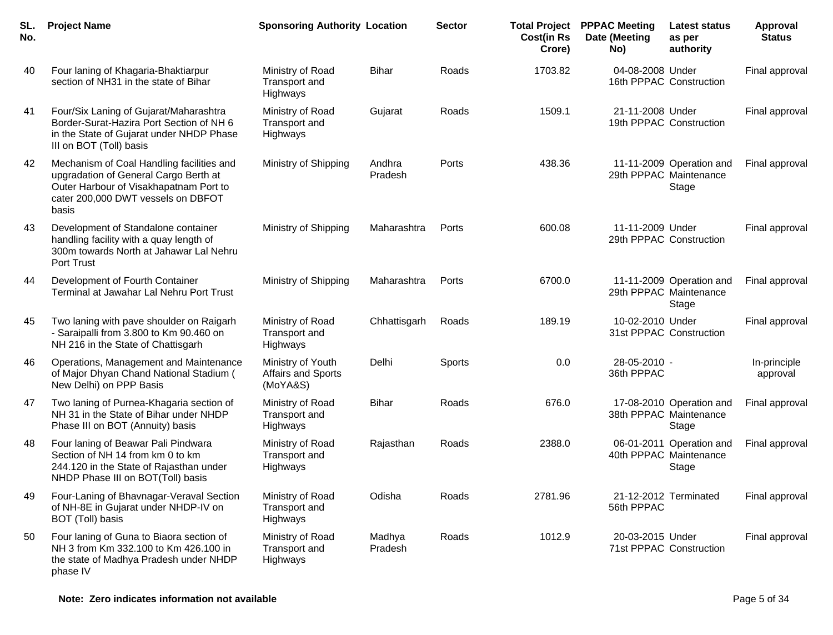| SL.<br>No. | <b>Project Name</b>                                                                                                                                                         | <b>Sponsoring Authority Location</b>                |                   | <b>Sector</b> | <b>Cost(in Rs</b><br>Crore) | <b>Total Project PPPAC Meeting</b><br>Date (Meeting<br>No) | <b>Latest status</b><br>as per<br>authority                 | Approval<br><b>Status</b> |
|------------|-----------------------------------------------------------------------------------------------------------------------------------------------------------------------------|-----------------------------------------------------|-------------------|---------------|-----------------------------|------------------------------------------------------------|-------------------------------------------------------------|---------------------------|
| 40         | Four laning of Khagaria-Bhaktiarpur<br>section of NH31 in the state of Bihar                                                                                                | Ministry of Road<br>Transport and<br>Highways       | <b>Bihar</b>      | Roads         | 1703.82                     | 04-08-2008 Under                                           | 16th PPPAC Construction                                     | Final approval            |
| 41         | Four/Six Laning of Gujarat/Maharashtra<br>Border-Surat-Hazira Port Section of NH 6<br>in the State of Gujarat under NHDP Phase<br>III on BOT (Toll) basis                   | Ministry of Road<br>Transport and<br>Highways       | Gujarat           | Roads         | 1509.1                      | 21-11-2008 Under                                           | 19th PPPAC Construction                                     | Final approval            |
| 42         | Mechanism of Coal Handling facilities and<br>upgradation of General Cargo Berth at<br>Outer Harbour of Visakhapatnam Port to<br>cater 200,000 DWT vessels on DBFOT<br>basis | Ministry of Shipping                                | Andhra<br>Pradesh | Ports         | 438.36                      |                                                            | 11-11-2009 Operation and<br>29th PPPAC Maintenance<br>Stage | Final approval            |
| 43         | Development of Standalone container<br>handling facility with a quay length of<br>300m towards North at Jahawar Lal Nehru<br><b>Port Trust</b>                              | Ministry of Shipping                                | Maharashtra       | Ports         | 600.08                      | 11-11-2009 Under                                           | 29th PPPAC Construction                                     | Final approval            |
| 44         | Development of Fourth Container<br>Terminal at Jawahar Lal Nehru Port Trust                                                                                                 | Ministry of Shipping                                | Maharashtra       | Ports         | 6700.0                      |                                                            | 11-11-2009 Operation and<br>29th PPPAC Maintenance<br>Stage | Final approval            |
| 45         | Two laning with pave shoulder on Raigarh<br>- Saraipalli from 3.800 to Km 90.460 on<br>NH 216 in the State of Chattisgarh                                                   | Ministry of Road<br>Transport and<br>Highways       | Chhattisgarh      | Roads         | 189.19                      | 10-02-2010 Under                                           | 31st PPPAC Construction                                     | Final approval            |
| 46         | Operations, Management and Maintenance<br>of Major Dhyan Chand National Stadium (<br>New Delhi) on PPP Basis                                                                | Ministry of Youth<br>Affairs and Sports<br>(MoYA&S) | Delhi             | Sports        | 0.0                         | 28-05-2010 -<br>36th PPPAC                                 |                                                             | In-principle<br>approval  |
| 47         | Two laning of Purnea-Khagaria section of<br>NH 31 in the State of Bihar under NHDP<br>Phase III on BOT (Annuity) basis                                                      | Ministry of Road<br>Transport and<br>Highways       | Bihar             | Roads         | 676.0                       |                                                            | 17-08-2010 Operation and<br>38th PPPAC Maintenance<br>Stage | Final approval            |
| 48         | Four laning of Beawar Pali Pindwara<br>Section of NH 14 from km 0 to km<br>244.120 in the State of Rajasthan under<br>NHDP Phase III on BOT(Toll) basis                     | Ministry of Road<br>Transport and<br>Highways       | Rajasthan         | Roads         | 2388.0                      |                                                            | 06-01-2011 Operation and<br>40th PPPAC Maintenance<br>Stage | Final approval            |
| 49         | Four-Laning of Bhavnagar-Veraval Section<br>of NH-8E in Gujarat under NHDP-IV on<br>BOT (Toll) basis                                                                        | Ministry of Road<br>Transport and<br>Highways       | Odisha            | Roads         | 2781.96                     | 56th PPPAC                                                 | 21-12-2012 Terminated                                       | Final approval            |
| 50         | Four laning of Guna to Biaora section of<br>NH 3 from Km 332.100 to Km 426.100 in<br>the state of Madhya Pradesh under NHDP<br>phase IV                                     | Ministry of Road<br>Transport and<br>Highways       | Madhya<br>Pradesh | Roads         | 1012.9                      | 20-03-2015 Under                                           | 71st PPPAC Construction                                     | Final approval            |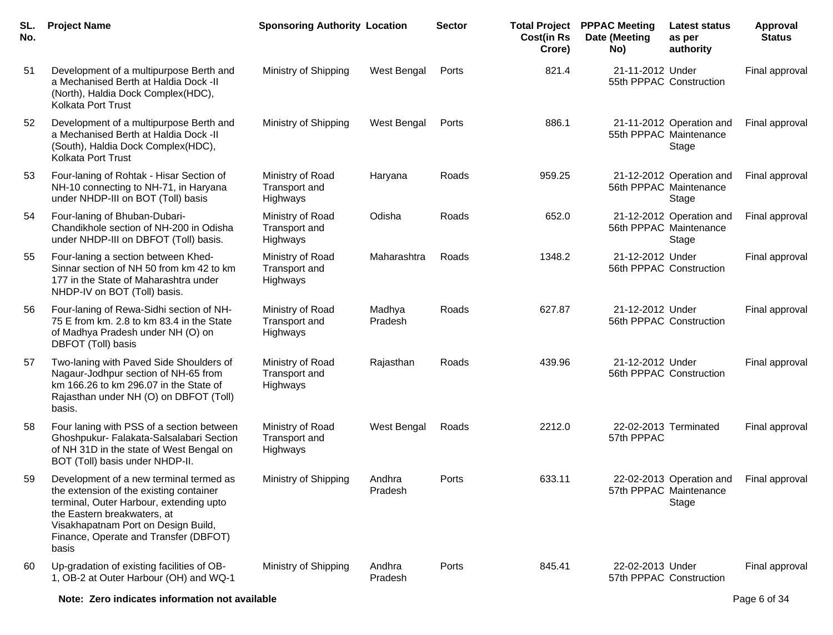| SL.<br>No. | <b>Project Name</b>                                                                                                                                                                                                                                   | <b>Sponsoring Authority Location</b>          |                   | <b>Sector</b> | <b>Cost(in Rs</b><br>Crore) | <b>Total Project PPPAC Meeting</b><br>Date (Meeting<br>No) | <b>Latest status</b><br>as per<br>authority                 | <b>Approval</b><br><b>Status</b> |
|------------|-------------------------------------------------------------------------------------------------------------------------------------------------------------------------------------------------------------------------------------------------------|-----------------------------------------------|-------------------|---------------|-----------------------------|------------------------------------------------------------|-------------------------------------------------------------|----------------------------------|
| 51         | Development of a multipurpose Berth and<br>a Mechanised Berth at Haldia Dock -II<br>(North), Haldia Dock Complex(HDC),<br>Kolkata Port Trust                                                                                                          | Ministry of Shipping                          | West Bengal       | Ports         | 821.4                       | 21-11-2012 Under                                           | 55th PPPAC Construction                                     | Final approval                   |
| 52         | Development of a multipurpose Berth and<br>a Mechanised Berth at Haldia Dock -II<br>(South), Haldia Dock Complex(HDC),<br>Kolkata Port Trust                                                                                                          | Ministry of Shipping                          | West Bengal       | Ports         | 886.1                       |                                                            | 21-11-2012 Operation and<br>55th PPPAC Maintenance<br>Stage | Final approval                   |
| 53         | Four-laning of Rohtak - Hisar Section of<br>NH-10 connecting to NH-71, in Haryana<br>under NHDP-III on BOT (Toll) basis                                                                                                                               | Ministry of Road<br>Transport and<br>Highways | Haryana           | Roads         | 959.25                      |                                                            | 21-12-2012 Operation and<br>56th PPPAC Maintenance<br>Stage | Final approval                   |
| 54         | Four-laning of Bhuban-Dubari-<br>Chandikhole section of NH-200 in Odisha<br>under NHDP-III on DBFOT (Toll) basis.                                                                                                                                     | Ministry of Road<br>Transport and<br>Highways | Odisha            | Roads         | 652.0                       |                                                            | 21-12-2012 Operation and<br>56th PPPAC Maintenance<br>Stage | Final approval                   |
| 55         | Four-laning a section between Khed-<br>Sinnar section of NH 50 from km 42 to km<br>177 in the State of Maharashtra under<br>NHDP-IV on BOT (Toll) basis.                                                                                              | Ministry of Road<br>Transport and<br>Highways | Maharashtra       | Roads         | 1348.2                      | 21-12-2012 Under                                           | 56th PPPAC Construction                                     | Final approval                   |
| 56         | Four-laning of Rewa-Sidhi section of NH-<br>75 E from km. 2.8 to km 83.4 in the State<br>of Madhya Pradesh under NH (O) on<br>DBFOT (Toll) basis                                                                                                      | Ministry of Road<br>Transport and<br>Highways | Madhya<br>Pradesh | Roads         | 627.87                      | 21-12-2012 Under                                           | 56th PPPAC Construction                                     | Final approval                   |
| 57         | Two-laning with Paved Side Shoulders of<br>Nagaur-Jodhpur section of NH-65 from<br>km 166.26 to km 296.07 in the State of<br>Rajasthan under NH (O) on DBFOT (Toll)<br>basis.                                                                         | Ministry of Road<br>Transport and<br>Highways | Rajasthan         | Roads         | 439.96                      | 21-12-2012 Under                                           | 56th PPPAC Construction                                     | Final approval                   |
| 58         | Four laning with PSS of a section between<br>Ghoshpukur- Falakata-Salsalabari Section<br>of NH 31D in the state of West Bengal on<br>BOT (Toll) basis under NHDP-II.                                                                                  | Ministry of Road<br>Transport and<br>Highways | West Bengal       | Roads         | 2212.0                      | 57th PPPAC                                                 | 22-02-2013 Terminated                                       | Final approval                   |
| 59         | Development of a new terminal termed as<br>the extension of the existing container<br>terminal, Outer Harbour, extending upto<br>the Eastern breakwaters, at<br>Visakhapatnam Port on Design Build,<br>Finance, Operate and Transfer (DBFOT)<br>basis | Ministry of Shipping                          | Andhra<br>Pradesh | Ports         | 633.11                      |                                                            | 22-02-2013 Operation and<br>57th PPPAC Maintenance<br>Stage | Final approval                   |
| 60         | Up-gradation of existing facilities of OB-<br>1, OB-2 at Outer Harbour (OH) and WQ-1                                                                                                                                                                  | Ministry of Shipping                          | Andhra<br>Pradesh | Ports         | 845.41                      | 22-02-2013 Under                                           | 57th PPPAC Construction                                     | Final approval                   |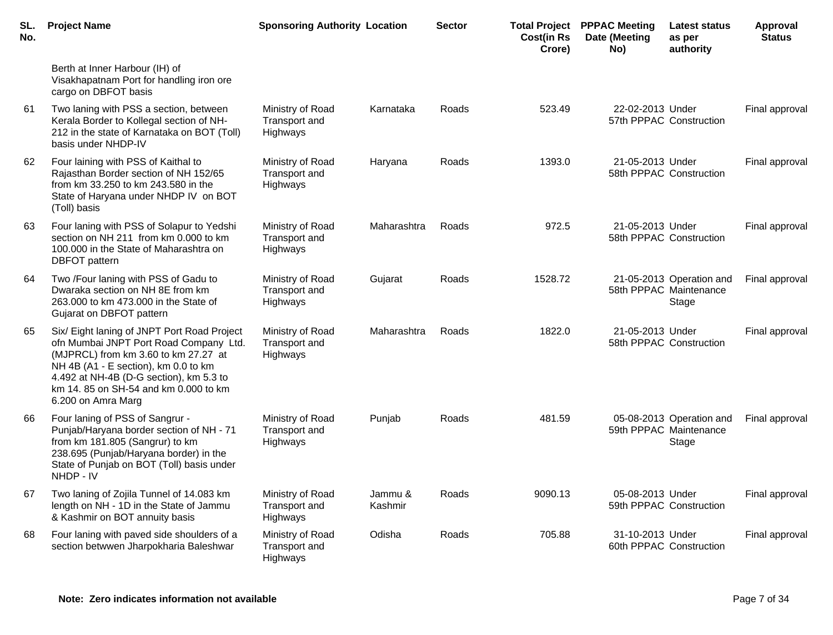| SL.<br>No. | <b>Project Name</b>                                                                                                                                                                                                                                                            | <b>Sponsoring Authority Location</b>          |                    | <b>Sector</b> | <b>Cost(in Rs</b><br>Crore) | <b>Total Project PPPAC Meeting</b><br>Date (Meeting<br>No) | <b>Latest status</b><br>as per<br>authority                 | Approval<br><b>Status</b> |
|------------|--------------------------------------------------------------------------------------------------------------------------------------------------------------------------------------------------------------------------------------------------------------------------------|-----------------------------------------------|--------------------|---------------|-----------------------------|------------------------------------------------------------|-------------------------------------------------------------|---------------------------|
|            | Berth at Inner Harbour (IH) of<br>Visakhapatnam Port for handling iron ore<br>cargo on DBFOT basis                                                                                                                                                                             |                                               |                    |               |                             |                                                            |                                                             |                           |
| 61         | Two laning with PSS a section, between<br>Kerala Border to Kollegal section of NH-<br>212 in the state of Karnataka on BOT (Toll)<br>basis under NHDP-IV                                                                                                                       | Ministry of Road<br>Transport and<br>Highways | Karnataka          | Roads         | 523.49                      | 22-02-2013 Under                                           | 57th PPPAC Construction                                     | Final approval            |
| 62         | Four laining with PSS of Kaithal to<br>Rajasthan Border section of NH 152/65<br>from km 33.250 to km 243.580 in the<br>State of Haryana under NHDP IV on BOT<br>(Toll) basis                                                                                                   | Ministry of Road<br>Transport and<br>Highways | Haryana            | Roads         | 1393.0                      | 21-05-2013 Under                                           | 58th PPPAC Construction                                     | Final approval            |
| 63         | Four laning with PSS of Solapur to Yedshi<br>section on NH 211 from km 0.000 to km<br>100.000 in the State of Maharashtra on<br><b>DBFOT</b> pattern                                                                                                                           | Ministry of Road<br>Transport and<br>Highways | Maharashtra        | Roads         | 972.5                       | 21-05-2013 Under                                           | 58th PPPAC Construction                                     | Final approval            |
| 64         | Two /Four laning with PSS of Gadu to<br>Dwaraka section on NH 8E from km<br>263.000 to km 473.000 in the State of<br>Gujarat on DBFOT pattern                                                                                                                                  | Ministry of Road<br>Transport and<br>Highways | Gujarat            | Roads         | 1528.72                     |                                                            | 21-05-2013 Operation and<br>58th PPPAC Maintenance<br>Stage | Final approval            |
| 65         | Six/ Eight laning of JNPT Port Road Project<br>ofn Mumbai JNPT Port Road Company Ltd.<br>(MJPRCL) from km 3.60 to km 27.27 at<br>NH 4B (A1 - E section), km 0.0 to km<br>4.492 at NH-4B (D-G section), km 5.3 to<br>km 14.85 on SH-54 and km 0.000 to km<br>6.200 on Amra Marg | Ministry of Road<br>Transport and<br>Highways | Maharashtra        | Roads         | 1822.0                      | 21-05-2013 Under                                           | 58th PPPAC Construction                                     | Final approval            |
| 66         | Four laning of PSS of Sangrur -<br>Punjab/Haryana border section of NH - 71<br>from km 181.805 (Sangrur) to km<br>238.695 (Punjab/Haryana border) in the<br>State of Punjab on BOT (Toll) basis under<br>NHDP - IV                                                             | Ministry of Road<br>Transport and<br>Highways | Punjab             | Roads         | 481.59                      |                                                            | 05-08-2013 Operation and<br>59th PPPAC Maintenance<br>Stage | Final approval            |
| 67         | Two laning of Zojila Tunnel of 14.083 km<br>length on NH - 1D in the State of Jammu<br>& Kashmir on BOT annuity basis                                                                                                                                                          | Ministry of Road<br>Transport and<br>Highways | Jammu &<br>Kashmir | Roads         | 9090.13                     | 05-08-2013 Under                                           | 59th PPPAC Construction                                     | Final approval            |
| 68         | Four laning with paved side shoulders of a<br>section betwwen Jharpokharia Baleshwar                                                                                                                                                                                           | Ministry of Road<br>Transport and<br>Highways | Odisha             | Roads         | 705.88                      | 31-10-2013 Under                                           | 60th PPPAC Construction                                     | Final approval            |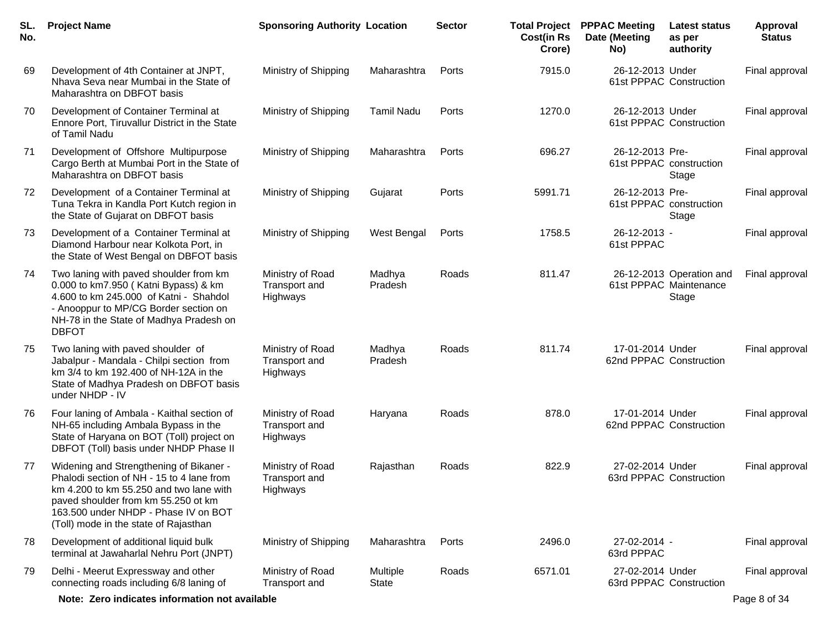| SL.<br>No. | <b>Project Name</b>                                                                                                                                                                                                                                     | <b>Sponsoring Authority Location</b>          |                          | <b>Sector</b> | <b>Cost(in Rs</b><br>Crore) | <b>Total Project PPPAC Meeting</b><br>Date (Meeting<br>No) | Latest status<br>as per<br>authority                        | Approval<br><b>Status</b> |
|------------|---------------------------------------------------------------------------------------------------------------------------------------------------------------------------------------------------------------------------------------------------------|-----------------------------------------------|--------------------------|---------------|-----------------------------|------------------------------------------------------------|-------------------------------------------------------------|---------------------------|
| 69         | Development of 4th Container at JNPT,<br>Nhava Seva near Mumbai in the State of<br>Maharashtra on DBFOT basis                                                                                                                                           | Ministry of Shipping                          | Maharashtra              | Ports         | 7915.0                      | 26-12-2013 Under                                           | 61st PPPAC Construction                                     | Final approval            |
| 70         | Development of Container Terminal at<br>Ennore Port, Tiruvallur District in the State<br>of Tamil Nadu                                                                                                                                                  | Ministry of Shipping                          | <b>Tamil Nadu</b>        | Ports         | 1270.0                      | 26-12-2013 Under                                           | 61st PPPAC Construction                                     | Final approval            |
| 71         | Development of Offshore Multipurpose<br>Cargo Berth at Mumbai Port in the State of<br>Maharashtra on DBFOT basis                                                                                                                                        | Ministry of Shipping                          | Maharashtra              | Ports         | 696.27                      | 26-12-2013 Pre-<br>61st PPPAC construction                 | Stage                                                       | Final approval            |
| 72         | Development of a Container Terminal at<br>Tuna Tekra in Kandla Port Kutch region in<br>the State of Gujarat on DBFOT basis                                                                                                                              | Ministry of Shipping                          | Gujarat                  | Ports         | 5991.71                     | 26-12-2013 Pre-                                            | 61st PPPAC construction<br>Stage                            | Final approval            |
| 73         | Development of a Container Terminal at<br>Diamond Harbour near Kolkota Port, in<br>the State of West Bengal on DBFOT basis                                                                                                                              | Ministry of Shipping                          | <b>West Bengal</b>       | Ports         | 1758.5                      | 26-12-2013 -<br>61st PPPAC                                 |                                                             | Final approval            |
| 74         | Two laning with paved shoulder from km<br>0.000 to km7.950 (Katni Bypass) & km<br>4.600 to km 245.000 of Katni - Shahdol<br>- Anooppur to MP/CG Border section on<br>NH-78 in the State of Madhya Pradesh on<br><b>DBFOT</b>                            | Ministry of Road<br>Transport and<br>Highways | Madhya<br>Pradesh        | Roads         | 811.47                      |                                                            | 26-12-2013 Operation and<br>61st PPPAC Maintenance<br>Stage | Final approval            |
| 75         | Two laning with paved shoulder of<br>Jabalpur - Mandala - Chilpi section from<br>km 3/4 to km 192.400 of NH-12A in the<br>State of Madhya Pradesh on DBFOT basis<br>under NHDP - IV                                                                     | Ministry of Road<br>Transport and<br>Highways | Madhya<br>Pradesh        | Roads         | 811.74                      | 17-01-2014 Under<br>62nd PPPAC Construction                |                                                             | Final approval            |
| 76         | Four laning of Ambala - Kaithal section of<br>NH-65 including Ambala Bypass in the<br>State of Haryana on BOT (Toll) project on<br>DBFOT (Toll) basis under NHDP Phase II                                                                               | Ministry of Road<br>Transport and<br>Highways | Haryana                  | Roads         | 878.0                       | 17-01-2014 Under<br>62nd PPPAC Construction                |                                                             | Final approval            |
| 77         | Widening and Strengthening of Bikaner -<br>Phalodi section of NH - 15 to 4 lane from<br>km 4.200 to km 55.250 and two lane with<br>paved shoulder from km 55.250 ot km<br>163.500 under NHDP - Phase IV on BOT<br>(Toll) mode in the state of Rajasthan | Ministry of Road<br>Transport and<br>Highways | Rajasthan                | Roads         | 822.9                       | 27-02-2014 Under                                           | 63rd PPPAC Construction                                     | Final approval            |
| 78         | Development of additional liquid bulk<br>terminal at Jawaharlal Nehru Port (JNPT)                                                                                                                                                                       | Ministry of Shipping                          | Maharashtra              | Ports         | 2496.0                      | 27-02-2014 -<br>63rd PPPAC                                 |                                                             | Final approval            |
| 79         | Delhi - Meerut Expressway and other<br>connecting roads including 6/8 laning of                                                                                                                                                                         | Ministry of Road<br>Transport and             | Multiple<br><b>State</b> | Roads         | 6571.01                     | 27-02-2014 Under                                           | 63rd PPPAC Construction                                     | Final approval            |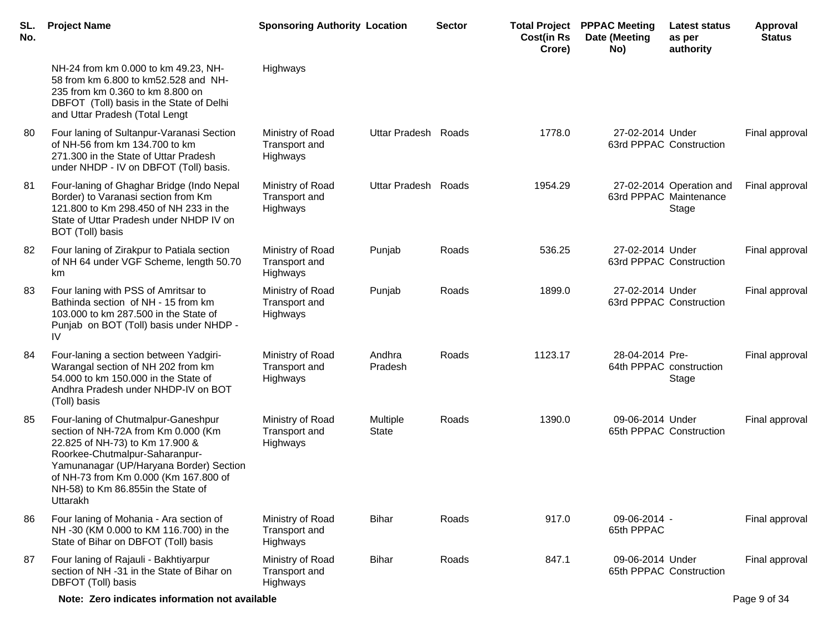| SL.<br>No. | <b>Project Name</b>                                                                                                                                                                                                                                                                   | <b>Sponsoring Authority Location</b>          |                          | <b>Sector</b> | <b>Total Project</b><br><b>Cost(in Rs</b><br>Crore) | <b>PPPAC Meeting</b><br>Date (Meeting<br>No) | <b>Latest status</b><br>as per<br>authority                 | <b>Approval</b><br><b>Status</b> |
|------------|---------------------------------------------------------------------------------------------------------------------------------------------------------------------------------------------------------------------------------------------------------------------------------------|-----------------------------------------------|--------------------------|---------------|-----------------------------------------------------|----------------------------------------------|-------------------------------------------------------------|----------------------------------|
|            | NH-24 from km 0.000 to km 49.23, NH-<br>58 from km 6.800 to km52.528 and NH-<br>235 from km 0.360 to km 8.800 on<br>DBFOT (Toll) basis in the State of Delhi<br>and Uttar Pradesh (Total Lengt                                                                                        | Highways                                      |                          |               |                                                     |                                              |                                                             |                                  |
| 80         | Four laning of Sultanpur-Varanasi Section<br>of NH-56 from km 134.700 to km<br>271.300 in the State of Uttar Pradesh<br>under NHDP - IV on DBFOT (Toll) basis.                                                                                                                        | Ministry of Road<br>Transport and<br>Highways | Uttar Pradesh Roads      |               | 1778.0                                              | 27-02-2014 Under                             | 63rd PPPAC Construction                                     | Final approval                   |
| 81         | Four-laning of Ghaghar Bridge (Indo Nepal<br>Border) to Varanasi section from Km<br>121.800 to Km 298.450 of NH 233 in the<br>State of Uttar Pradesh under NHDP IV on<br>BOT (Toll) basis                                                                                             | Ministry of Road<br>Transport and<br>Highways | Uttar Pradesh Roads      |               | 1954.29                                             |                                              | 27-02-2014 Operation and<br>63rd PPPAC Maintenance<br>Stage | Final approval                   |
| 82         | Four laning of Zirakpur to Patiala section<br>of NH 64 under VGF Scheme, length 50.70<br>km                                                                                                                                                                                           | Ministry of Road<br>Transport and<br>Highways | Punjab                   | Roads         | 536.25                                              | 27-02-2014 Under                             | 63rd PPPAC Construction                                     | Final approval                   |
| 83         | Four laning with PSS of Amritsar to<br>Bathinda section of NH - 15 from km<br>103.000 to km 287.500 in the State of<br>Punjab on BOT (Toll) basis under NHDP -<br>IV                                                                                                                  | Ministry of Road<br>Transport and<br>Highways | Punjab                   | Roads         | 1899.0                                              | 27-02-2014 Under                             | 63rd PPPAC Construction                                     | Final approval                   |
| 84         | Four-laning a section between Yadgiri-<br>Warangal section of NH 202 from km<br>54.000 to km 150.000 in the State of<br>Andhra Pradesh under NHDP-IV on BOT<br>(Toll) basis                                                                                                           | Ministry of Road<br>Transport and<br>Highways | Andhra<br>Pradesh        | Roads         | 1123.17                                             | 28-04-2014 Pre-<br>64th PPPAC construction   | Stage                                                       | Final approval                   |
| 85         | Four-laning of Chutmalpur-Ganeshpur<br>section of NH-72A from Km 0.000 (Km<br>22.825 of NH-73) to Km 17.900 &<br>Roorkee-Chutmalpur-Saharanpur-<br>Yamunanagar (UP/Haryana Border) Section<br>of NH-73 from Km 0.000 (Km 167.800 of<br>NH-58) to Km 86.855in the State of<br>Uttarakh | Ministry of Road<br>Transport and<br>Highways | Multiple<br><b>State</b> | Roads         | 1390.0                                              | 09-06-2014 Under                             | 65th PPPAC Construction                                     | Final approval                   |
| 86         | Four laning of Mohania - Ara section of<br>NH -30 (KM 0.000 to KM 116.700) in the<br>State of Bihar on DBFOT (Toll) basis                                                                                                                                                             | Ministry of Road<br>Transport and<br>Highways | <b>Bihar</b>             | Roads         | 917.0                                               | 09-06-2014 -<br>65th PPPAC                   |                                                             | Final approval                   |
| 87         | Four laning of Rajauli - Bakhtiyarpur<br>section of NH -31 in the State of Bihar on<br>DBFOT (Toll) basis                                                                                                                                                                             | Ministry of Road<br>Transport and<br>Highways | <b>Bihar</b>             | Roads         | 847.1                                               | 09-06-2014 Under                             | 65th PPPAC Construction                                     | Final approval                   |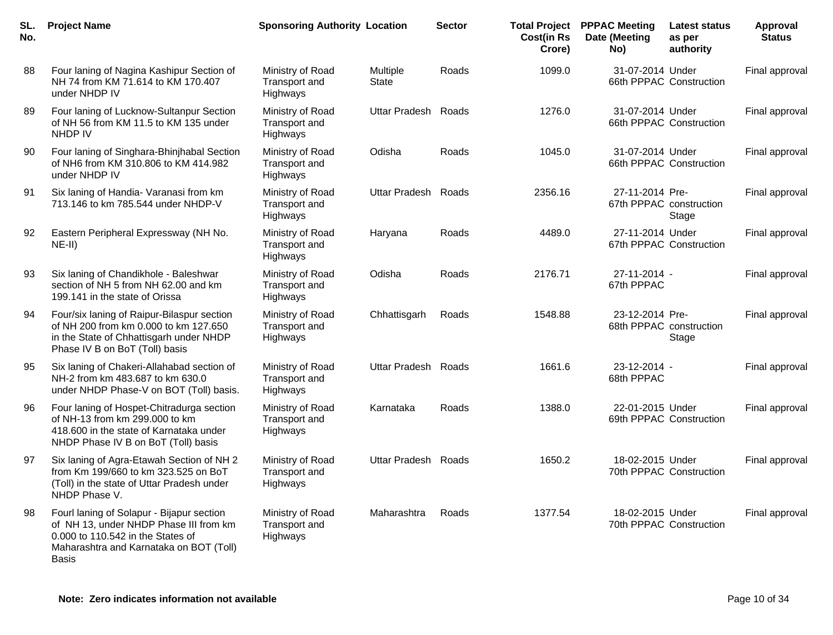| SL.<br>No. | <b>Project Name</b>                                                                                                                                                                 | <b>Sponsoring Authority Location</b>                 |                          | <b>Sector</b> | <b>Total Project</b><br><b>Cost(in Rs</b><br>Crore) | <b>PPPAC Meeting</b><br>Date (Meeting<br>No) | <b>Latest status</b><br>as per<br>authority | Approval<br><b>Status</b> |
|------------|-------------------------------------------------------------------------------------------------------------------------------------------------------------------------------------|------------------------------------------------------|--------------------------|---------------|-----------------------------------------------------|----------------------------------------------|---------------------------------------------|---------------------------|
| 88         | Four laning of Nagina Kashipur Section of<br>NH 74 from KM 71.614 to KM 170.407<br>under NHDP IV                                                                                    | Ministry of Road<br><b>Transport and</b><br>Highways | Multiple<br><b>State</b> | Roads         | 1099.0                                              | 31-07-2014 Under                             | 66th PPPAC Construction                     | Final approval            |
| 89         | Four laning of Lucknow-Sultanpur Section<br>of NH 56 from KM 11.5 to KM 135 under<br>NHDP IV                                                                                        | Ministry of Road<br>Transport and<br>Highways        | <b>Uttar Pradesh</b>     | Roads         | 1276.0                                              | 31-07-2014 Under                             | 66th PPPAC Construction                     | Final approval            |
| 90         | Four laning of Singhara-Bhinjhabal Section<br>of NH6 from KM 310.806 to KM 414.982<br>under NHDP IV                                                                                 | Ministry of Road<br><b>Transport and</b><br>Highways | Odisha                   | Roads         | 1045.0                                              | 31-07-2014 Under                             | 66th PPPAC Construction                     | Final approval            |
| 91         | Six laning of Handia- Varanasi from km<br>713.146 to km 785.544 under NHDP-V                                                                                                        | Ministry of Road<br><b>Transport and</b><br>Highways | Uttar Pradesh Roads      |               | 2356.16                                             | 27-11-2014 Pre-                              | 67th PPPAC construction<br>Stage            | Final approval            |
| 92         | Eastern Peripheral Expressway (NH No.<br>$NE-II)$                                                                                                                                   | Ministry of Road<br>Transport and<br>Highways        | Haryana                  | Roads         | 4489.0                                              | 27-11-2014 Under                             | 67th PPPAC Construction                     | Final approval            |
| 93         | Six laning of Chandikhole - Baleshwar<br>section of NH 5 from NH 62.00 and km<br>199.141 in the state of Orissa                                                                     | Ministry of Road<br><b>Transport and</b><br>Highways | Odisha                   | Roads         | 2176.71                                             | 27-11-2014 -<br>67th PPPAC                   |                                             | Final approval            |
| 94         | Four/six laning of Raipur-Bilaspur section<br>of NH 200 from km 0.000 to km 127.650<br>in the State of Chhattisgarh under NHDP<br>Phase IV B on BoT (Toll) basis                    | Ministry of Road<br>Transport and<br>Highways        | Chhattisgarh             | Roads         | 1548.88                                             | 23-12-2014 Pre-                              | 68th PPPAC construction<br>Stage            | Final approval            |
| 95         | Six laning of Chakeri-Allahabad section of<br>NH-2 from km 483.687 to km 630.0<br>under NHDP Phase-V on BOT (Toll) basis.                                                           | Ministry of Road<br>Transport and<br>Highways        | <b>Uttar Pradesh</b>     | Roads         | 1661.6                                              | 23-12-2014 -<br>68th PPPAC                   |                                             | Final approval            |
| 96         | Four laning of Hospet-Chitradurga section<br>of NH-13 from km 299.000 to km<br>418.600 in the state of Karnataka under<br>NHDP Phase IV B on BoT (Toll) basis                       | Ministry of Road<br>Transport and<br>Highways        | Karnataka                | Roads         | 1388.0                                              | 22-01-2015 Under                             | 69th PPPAC Construction                     | Final approval            |
| 97         | Six laning of Agra-Etawah Section of NH 2<br>from Km 199/660 to km 323.525 on BoT<br>(Toll) in the state of Uttar Pradesh under<br>NHDP Phase V.                                    | Ministry of Road<br><b>Transport and</b><br>Highways | Uttar Pradesh Roads      |               | 1650.2                                              | 18-02-2015 Under                             | 70th PPPAC Construction                     | Final approval            |
| 98         | Fourl laning of Solapur - Bijapur section<br>of NH 13, under NHDP Phase III from km<br>0.000 to 110.542 in the States of<br>Maharashtra and Karnataka on BOT (Toll)<br><b>Basis</b> | Ministry of Road<br>Transport and<br>Highways        | Maharashtra              | Roads         | 1377.54                                             | 18-02-2015 Under                             | 70th PPPAC Construction                     | Final approval            |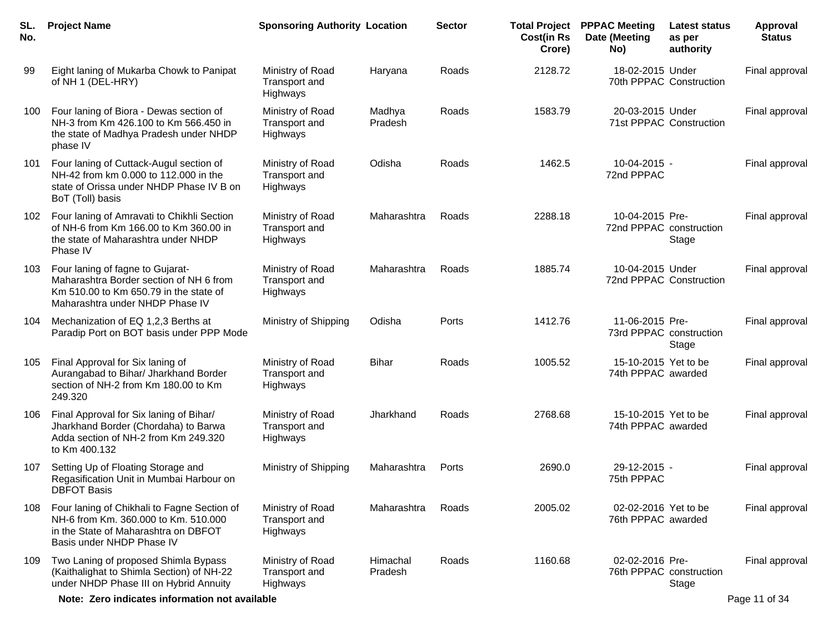| SL.<br>No. | <b>Project Name</b>                                                                                                                                      | <b>Sponsoring Authority Location</b>          |                     | <b>Sector</b> | <b>Cost(in Rs</b><br>Crore) | <b>Total Project PPPAC Meeting</b><br>Date (Meeting<br>No) | Latest status<br>as per<br>authority | Approval<br><b>Status</b> |
|------------|----------------------------------------------------------------------------------------------------------------------------------------------------------|-----------------------------------------------|---------------------|---------------|-----------------------------|------------------------------------------------------------|--------------------------------------|---------------------------|
| 99         | Eight laning of Mukarba Chowk to Panipat<br>of NH 1 (DEL-HRY)                                                                                            | Ministry of Road<br>Transport and<br>Highways | Haryana             | Roads         | 2128.72                     | 18-02-2015 Under<br>70th PPPAC Construction                |                                      | Final approval            |
| 100        | Four laning of Biora - Dewas section of<br>NH-3 from Km 426.100 to Km 566.450 in<br>the state of Madhya Pradesh under NHDP<br>phase IV                   | Ministry of Road<br>Transport and<br>Highways | Madhya<br>Pradesh   | Roads         | 1583.79                     | 20-03-2015 Under<br>71st PPPAC Construction                |                                      | Final approval            |
| 101        | Four laning of Cuttack-Augul section of<br>NH-42 from km 0.000 to 112.000 in the<br>state of Orissa under NHDP Phase IV B on<br>BoT (Toll) basis         | Ministry of Road<br>Transport and<br>Highways | Odisha              | Roads         | 1462.5                      | 10-04-2015 -<br>72nd PPPAC                                 |                                      | Final approval            |
| 102        | Four laning of Amravati to Chikhli Section<br>of NH-6 from Km 166,00 to Km 360,00 in<br>the state of Maharashtra under NHDP<br>Phase IV                  | Ministry of Road<br>Transport and<br>Highways | Maharashtra         | Roads         | 2288.18                     | 10-04-2015 Pre-<br>72nd PPPAC construction                 | Stage                                | Final approval            |
| 103        | Four laning of fagne to Gujarat-<br>Maharashtra Border section of NH 6 from<br>Km 510.00 to Km 650.79 in the state of<br>Maharashtra under NHDP Phase IV | Ministry of Road<br>Transport and<br>Highways | Maharashtra         | Roads         | 1885.74                     | 10-04-2015 Under<br>72nd PPPAC Construction                |                                      | Final approval            |
| 104        | Mechanization of EQ 1,2,3 Berths at<br>Paradip Port on BOT basis under PPP Mode                                                                          | Ministry of Shipping                          | Odisha              | Ports         | 1412.76                     | 11-06-2015 Pre-<br>73rd PPPAC construction                 | Stage                                | Final approval            |
| 105        | Final Approval for Six laning of<br>Aurangabad to Bihar/ Jharkhand Border<br>section of NH-2 from Km 180.00 to Km<br>249.320                             | Ministry of Road<br>Transport and<br>Highways | <b>Bihar</b>        | Roads         | 1005.52                     | 15-10-2015 Yet to be<br>74th PPPAC awarded                 |                                      | Final approval            |
| 106        | Final Approval for Six laning of Bihar/<br>Jharkhand Border (Chordaha) to Barwa<br>Adda section of NH-2 from Km 249.320<br>to Km 400.132                 | Ministry of Road<br>Transport and<br>Highways | Jharkhand           | Roads         | 2768.68                     | 15-10-2015 Yet to be<br>74th PPPAC awarded                 |                                      | Final approval            |
| 107        | Setting Up of Floating Storage and<br>Regasification Unit in Mumbai Harbour on<br><b>DBFOT Basis</b>                                                     | Ministry of Shipping                          | Maharashtra         | Ports         | 2690.0                      | 29-12-2015 -<br>75th PPPAC                                 |                                      | Final approval            |
| 108        | Four laning of Chikhali to Fagne Section of<br>NH-6 from Km. 360.000 to Km. 510.000<br>in the State of Maharashtra on DBFOT<br>Basis under NHDP Phase IV | Ministry of Road<br>Transport and<br>Highways | Maharashtra         | Roads         | 2005.02                     | 02-02-2016 Yet to be<br>76th PPPAC awarded                 |                                      | Final approval            |
| 109        | Two Laning of proposed Shimla Bypass<br>(Kaithalighat to Shimla Section) of NH-22<br>under NHDP Phase III on Hybrid Annuity                              | Ministry of Road<br>Transport and<br>Highways | Himachal<br>Pradesh | Roads         | 1160.68                     | 02-02-2016 Pre-<br>76th PPPAC construction                 | Stage                                | Final approval            |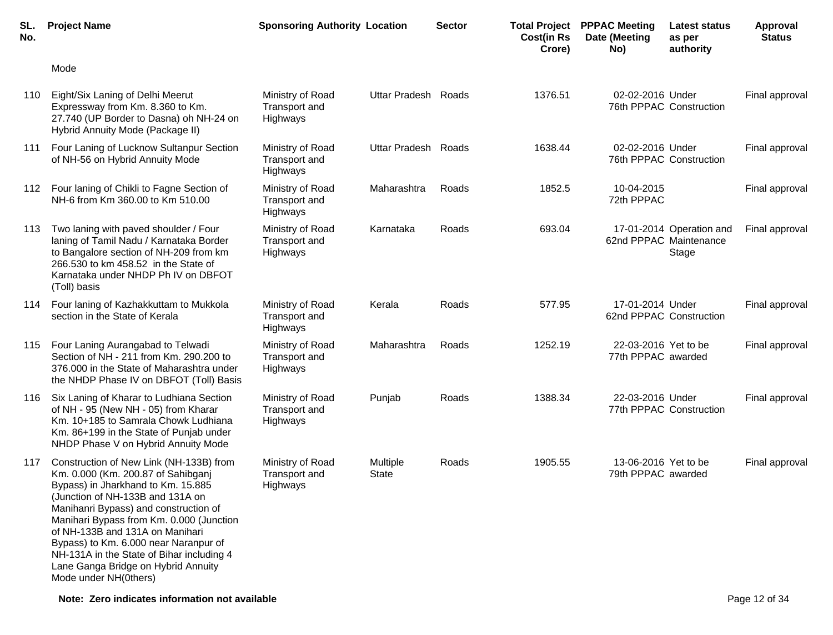| SL.<br>No. | <b>Project Name</b>                                                                                                                                                                                                                                                                                                                                                                                                                       | <b>Sponsoring Authority Location</b>          |                     | <b>Sector</b> | <b>Total Project</b><br><b>Cost(in Rs</b><br>Crore) | <b>PPPAC Meeting</b><br>Date (Meeting<br>No) | Latest status<br>as per<br>authority                        | Approval<br><b>Status</b> |
|------------|-------------------------------------------------------------------------------------------------------------------------------------------------------------------------------------------------------------------------------------------------------------------------------------------------------------------------------------------------------------------------------------------------------------------------------------------|-----------------------------------------------|---------------------|---------------|-----------------------------------------------------|----------------------------------------------|-------------------------------------------------------------|---------------------------|
|            | Mode                                                                                                                                                                                                                                                                                                                                                                                                                                      |                                               |                     |               |                                                     |                                              |                                                             |                           |
| 110        | Eight/Six Laning of Delhi Meerut<br>Expressway from Km. 8.360 to Km.<br>27.740 (UP Border to Dasna) oh NH-24 on<br>Hybrid Annuity Mode (Package II)                                                                                                                                                                                                                                                                                       | Ministry of Road<br>Transport and<br>Highways | Uttar Pradesh Roads |               | 1376.51                                             | 02-02-2016 Under                             | 76th PPPAC Construction                                     | Final approval            |
| 111        | Four Laning of Lucknow Sultanpur Section<br>of NH-56 on Hybrid Annuity Mode                                                                                                                                                                                                                                                                                                                                                               | Ministry of Road<br>Transport and<br>Highways | Uttar Pradesh Roads |               | 1638.44                                             | 02-02-2016 Under                             | 76th PPPAC Construction                                     | Final approval            |
| 112        | Four laning of Chikli to Fagne Section of<br>NH-6 from Km 360.00 to Km 510.00                                                                                                                                                                                                                                                                                                                                                             | Ministry of Road<br>Transport and<br>Highways | Maharashtra         | Roads         | 1852.5                                              | 10-04-2015<br>72th PPPAC                     |                                                             | Final approval            |
| 113        | Two laning with paved shoulder / Four<br>laning of Tamil Nadu / Karnataka Border<br>to Bangalore section of NH-209 from km<br>266.530 to km 458.52 in the State of<br>Karnataka under NHDP Ph IV on DBFOT<br>(Toll) basis                                                                                                                                                                                                                 | Ministry of Road<br>Transport and<br>Highways | Karnataka           | Roads         | 693.04                                              |                                              | 17-01-2014 Operation and<br>62nd PPPAC Maintenance<br>Stage | Final approval            |
| 114        | Four laning of Kazhakkuttam to Mukkola<br>section in the State of Kerala                                                                                                                                                                                                                                                                                                                                                                  | Ministry of Road<br>Transport and<br>Highways | Kerala              | Roads         | 577.95                                              | 17-01-2014 Under<br>62nd PPPAC Construction  |                                                             | Final approval            |
| 115        | Four Laning Aurangabad to Telwadi<br>Section of NH - 211 from Km. 290.200 to<br>376.000 in the State of Maharashtra under<br>the NHDP Phase IV on DBFOT (Toll) Basis                                                                                                                                                                                                                                                                      | Ministry of Road<br>Transport and<br>Highways | Maharashtra         | Roads         | 1252.19                                             | 22-03-2016 Yet to be<br>77th PPPAC awarded   |                                                             | Final approval            |
| 116        | Six Laning of Kharar to Ludhiana Section<br>of NH - 95 (New NH - 05) from Kharar<br>Km. 10+185 to Samrala Chowk Ludhiana<br>Km. 86+199 in the State of Punjab under<br>NHDP Phase V on Hybrid Annuity Mode                                                                                                                                                                                                                                | Ministry of Road<br>Transport and<br>Highways | Punjab              | Roads         | 1388.34                                             | 22-03-2016 Under                             | 77th PPPAC Construction                                     | Final approval            |
|            | 117 Construction of New Link (NH-133B) from<br>Km. 0.000 (Km. 200.87 of Sahibganj<br>Bypass) in Jharkhand to Km. 15.885<br>(Junction of NH-133B and 131A on<br>Manihanri Bypass) and construction of<br>Manihari Bypass from Km. 0.000 (Junction<br>of NH-133B and 131A on Manihari<br>Bypass) to Km. 6.000 near Naranpur of<br>NH-131A in the State of Bihar including 4<br>Lane Ganga Bridge on Hybrid Annuity<br>Mode under NH(0thers) | Ministry of Road<br>Transport and<br>Highways | Multiple<br>State   | Roads         | 1905.55                                             | 13-06-2016 Yet to be<br>79th PPPAC awarded   |                                                             | Final approval            |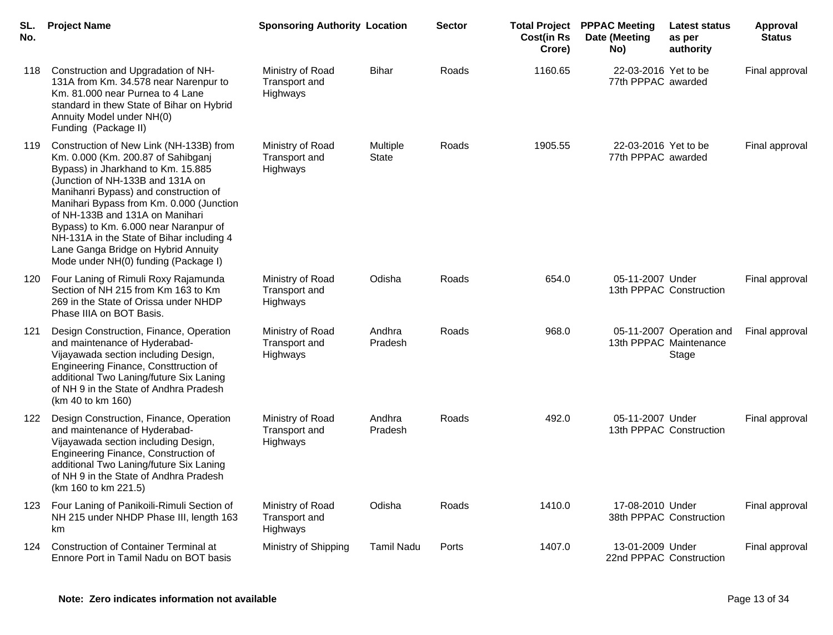| SL.<br>No. | <b>Project Name</b>                                                                                                                                                                                                                                                                                                                                                                                                                                  | <b>Sponsoring Authority Location</b>          |                   | <b>Sector</b> | <b>Cost(in Rs</b><br>Crore) | <b>Total Project PPPAC Meeting</b><br>Date (Meeting<br>No) | Latest status<br>as per<br>authority                        | <b>Approval</b><br><b>Status</b> |
|------------|------------------------------------------------------------------------------------------------------------------------------------------------------------------------------------------------------------------------------------------------------------------------------------------------------------------------------------------------------------------------------------------------------------------------------------------------------|-----------------------------------------------|-------------------|---------------|-----------------------------|------------------------------------------------------------|-------------------------------------------------------------|----------------------------------|
| 118        | Construction and Upgradation of NH-<br>131A from Km. 34.578 near Narenpur to<br>Km. 81.000 near Purnea to 4 Lane<br>standard in thew State of Bihar on Hybrid<br>Annuity Model under NH(0)<br>Funding (Package II)                                                                                                                                                                                                                                   | Ministry of Road<br>Transport and<br>Highways | <b>Bihar</b>      | Roads         | 1160.65                     | 22-03-2016 Yet to be<br>77th PPPAC awarded                 |                                                             | Final approval                   |
| 119        | Construction of New Link (NH-133B) from<br>Km. 0.000 (Km. 200.87 of Sahibganj<br>Bypass) in Jharkhand to Km. 15.885<br>(Junction of NH-133B and 131A on<br>Manihanri Bypass) and construction of<br>Manihari Bypass from Km. 0.000 (Junction<br>of NH-133B and 131A on Manihari<br>Bypass) to Km. 6.000 near Naranpur of<br>NH-131A in the State of Bihar including 4<br>Lane Ganga Bridge on Hybrid Annuity<br>Mode under NH(0) funding (Package I) | Ministry of Road<br>Transport and<br>Highways | Multiple<br>State | Roads         | 1905.55                     | 22-03-2016 Yet to be<br>77th PPPAC awarded                 |                                                             | Final approval                   |
| 120        | Four Laning of Rimuli Roxy Rajamunda<br>Section of NH 215 from Km 163 to Km<br>269 in the State of Orissa under NHDP<br>Phase IIIA on BOT Basis.                                                                                                                                                                                                                                                                                                     | Ministry of Road<br>Transport and<br>Highways | Odisha            | Roads         | 654.0                       | 05-11-2007 Under                                           | 13th PPPAC Construction                                     | Final approval                   |
| 121        | Design Construction, Finance, Operation<br>and maintenance of Hyderabad-<br>Vijayawada section including Design,<br>Engineering Finance, Consttruction of<br>additional Two Laning/future Six Laning<br>of NH 9 in the State of Andhra Pradesh<br>(km 40 to km 160)                                                                                                                                                                                  | Ministry of Road<br>Transport and<br>Highways | Andhra<br>Pradesh | Roads         | 968.0                       |                                                            | 05-11-2007 Operation and<br>13th PPPAC Maintenance<br>Stage | Final approval                   |
| 122        | Design Construction, Finance, Operation<br>and maintenance of Hyderabad-<br>Vijayawada section including Design,<br>Engineering Finance, Construction of<br>additional Two Laning/future Six Laning<br>of NH 9 in the State of Andhra Pradesh<br>(km 160 to km 221.5)                                                                                                                                                                                | Ministry of Road<br>Transport and<br>Highways | Andhra<br>Pradesh | Roads         | 492.0                       | 05-11-2007 Under                                           | 13th PPPAC Construction                                     | Final approval                   |
| 123        | Four Laning of Panikoili-Rimuli Section of<br>NH 215 under NHDP Phase III, length 163<br>km                                                                                                                                                                                                                                                                                                                                                          | Ministry of Road<br>Transport and<br>Highways | Odisha            | Roads         | 1410.0                      | 17-08-2010 Under                                           | 38th PPPAC Construction                                     | Final approval                   |
| 124        | <b>Construction of Container Terminal at</b><br>Ennore Port in Tamil Nadu on BOT basis                                                                                                                                                                                                                                                                                                                                                               | Ministry of Shipping                          | <b>Tamil Nadu</b> | Ports         | 1407.0                      | 13-01-2009 Under                                           | 22nd PPPAC Construction                                     | Final approval                   |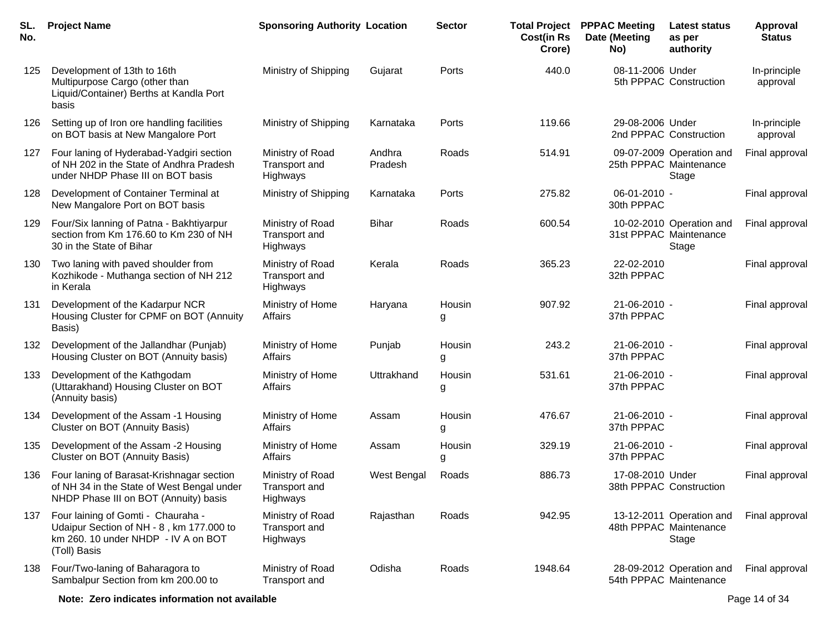| SL.<br>No. | <b>Project Name</b>                                                                                                                   | <b>Sponsoring Authority Location</b>          |                   | <b>Sector</b> | <b>Total Project</b><br><b>Cost(in Rs</b><br>Crore) | <b>PPPAC Meeting</b><br>Date (Meeting<br>No) | Latest status<br>as per<br>authority                        | Approval<br><b>Status</b> |
|------------|---------------------------------------------------------------------------------------------------------------------------------------|-----------------------------------------------|-------------------|---------------|-----------------------------------------------------|----------------------------------------------|-------------------------------------------------------------|---------------------------|
| 125        | Development of 13th to 16th<br>Multipurpose Cargo (other than<br>Liquid/Container) Berths at Kandla Port<br>basis                     | Ministry of Shipping                          | Gujarat           | Ports         | 440.0                                               | 08-11-2006 Under                             | 5th PPPAC Construction                                      | In-principle<br>approval  |
| 126        | Setting up of Iron ore handling facilities<br>on BOT basis at New Mangalore Port                                                      | Ministry of Shipping                          | Karnataka         | Ports         | 119.66                                              | 29-08-2006 Under                             | 2nd PPPAC Construction                                      | In-principle<br>approval  |
| 127        | Four laning of Hyderabad-Yadgiri section<br>of NH 202 in the State of Andhra Pradesh<br>under NHDP Phase III on BOT basis             | Ministry of Road<br>Transport and<br>Highways | Andhra<br>Pradesh | Roads         | 514.91                                              |                                              | 09-07-2009 Operation and<br>25th PPPAC Maintenance<br>Stage | Final approval            |
| 128        | Development of Container Terminal at<br>New Mangalore Port on BOT basis                                                               | Ministry of Shipping                          | Karnataka         | Ports         | 275.82                                              | 06-01-2010 -<br>30th PPPAC                   |                                                             | Final approval            |
| 129        | Four/Six lanning of Patna - Bakhtiyarpur<br>section from Km 176.60 to Km 230 of NH<br>30 in the State of Bihar                        | Ministry of Road<br>Transport and<br>Highways | Bihar             | Roads         | 600.54                                              |                                              | 10-02-2010 Operation and<br>31st PPPAC Maintenance<br>Stage | Final approval            |
| 130        | Two laning with paved shoulder from<br>Kozhikode - Muthanga section of NH 212<br>in Kerala                                            | Ministry of Road<br>Transport and<br>Highways | Kerala            | Roads         | 365.23                                              | 22-02-2010<br>32th PPPAC                     |                                                             | Final approval            |
| 131        | Development of the Kadarpur NCR<br>Housing Cluster for CPMF on BOT (Annuity<br>Basis)                                                 | Ministry of Home<br>Affairs                   | Haryana           | Housin<br>g   | 907.92                                              | 21-06-2010 -<br>37th PPPAC                   |                                                             | Final approval            |
| 132        | Development of the Jallandhar (Punjab)<br>Housing Cluster on BOT (Annuity basis)                                                      | Ministry of Home<br>Affairs                   | Punjab            | Housin<br>g   | 243.2                                               | 21-06-2010 -<br>37th PPPAC                   |                                                             | Final approval            |
| 133        | Development of the Kathgodam<br>(Uttarakhand) Housing Cluster on BOT<br>(Annuity basis)                                               | Ministry of Home<br>Affairs                   | Uttrakhand        | Housin<br>g   | 531.61                                              | 21-06-2010 -<br>37th PPPAC                   |                                                             | Final approval            |
| 134        | Development of the Assam -1 Housing<br>Cluster on BOT (Annuity Basis)                                                                 | Ministry of Home<br>Affairs                   | Assam             | Housin<br>g   | 476.67                                              | 21-06-2010 -<br>37th PPPAC                   |                                                             | Final approval            |
| 135        | Development of the Assam -2 Housing<br>Cluster on BOT (Annuity Basis)                                                                 | Ministry of Home<br>Affairs                   | Assam             | Housin<br>g   | 329.19                                              | 21-06-2010 -<br>37th PPPAC                   |                                                             | Final approval            |
| 136        | Four laning of Barasat-Krishnagar section<br>of NH 34 in the State of West Bengal under<br>NHDP Phase III on BOT (Annuity) basis      | Ministry of Road<br>Transport and<br>Highways | West Bengal       | Roads         | 886.73                                              | 17-08-2010 Under                             | 38th PPPAC Construction                                     | Final approval            |
| 137        | Four laining of Gomti - Chauraha -<br>Udaipur Section of NH - 8, km 177.000 to<br>km 260. 10 under NHDP - IV A on BOT<br>(Toll) Basis | Ministry of Road<br>Transport and<br>Highways | Rajasthan         | Roads         | 942.95                                              |                                              | 13-12-2011 Operation and<br>48th PPPAC Maintenance<br>Stage | Final approval            |
| 138        | Four/Two-laning of Baharagora to<br>Sambalpur Section from km 200.00 to                                                               | Ministry of Road<br>Transport and             | Odisha            | Roads         | 1948.64                                             |                                              | 28-09-2012 Operation and<br>54th PPPAC Maintenance          | Final approval            |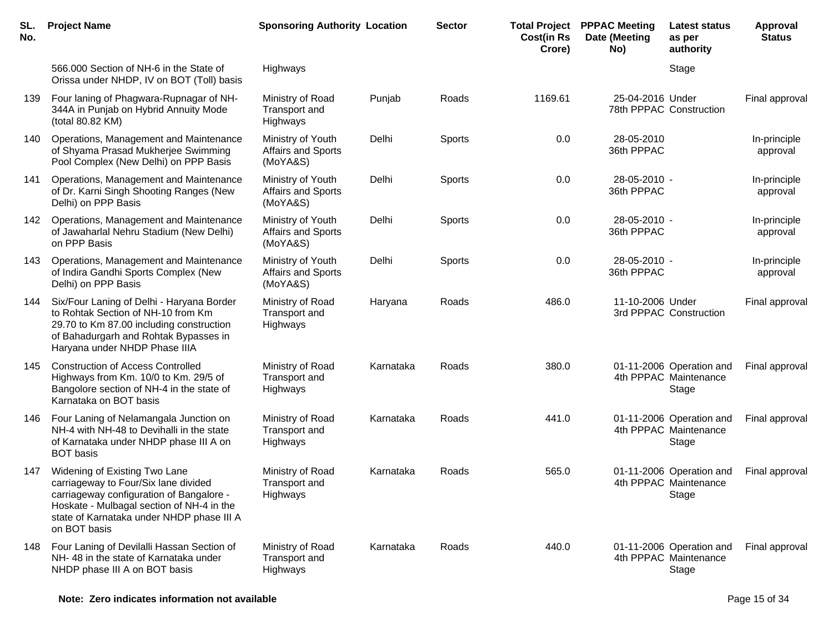| SL.<br>No. | <b>Project Name</b>                                                                                                                                                                                                         | <b>Sponsoring Authority Location</b>                |           | <b>Sector</b> | <b>Total Project</b><br><b>Cost(in Rs</b><br>Crore) | <b>PPPAC Meeting</b><br>Date (Meeting<br>No) | <b>Latest status</b><br>as per<br>authority                | Approval<br><b>Status</b> |
|------------|-----------------------------------------------------------------------------------------------------------------------------------------------------------------------------------------------------------------------------|-----------------------------------------------------|-----------|---------------|-----------------------------------------------------|----------------------------------------------|------------------------------------------------------------|---------------------------|
|            | 566.000 Section of NH-6 in the State of<br>Orissa under NHDP, IV on BOT (Toll) basis                                                                                                                                        | Highways                                            |           |               |                                                     |                                              | Stage                                                      |                           |
| 139        | Four laning of Phagwara-Rupnagar of NH-<br>344A in Punjab on Hybrid Annuity Mode<br>(total 80.82 KM)                                                                                                                        | Ministry of Road<br>Transport and<br>Highways       | Punjab    | Roads         | 1169.61                                             | 25-04-2016 Under                             | 78th PPPAC Construction                                    | Final approval            |
| 140        | Operations, Management and Maintenance<br>of Shyama Prasad Mukherjee Swimming<br>Pool Complex (New Delhi) on PPP Basis                                                                                                      | Ministry of Youth<br>Affairs and Sports<br>(MoYA&S) | Delhi     | Sports        | 0.0                                                 | 28-05-2010<br>36th PPPAC                     |                                                            | In-principle<br>approval  |
| 141        | Operations, Management and Maintenance<br>of Dr. Karni Singh Shooting Ranges (New<br>Delhi) on PPP Basis                                                                                                                    | Ministry of Youth<br>Affairs and Sports<br>(MoYA&S) | Delhi     | Sports        | 0.0                                                 | 28-05-2010 -<br>36th PPPAC                   |                                                            | In-principle<br>approval  |
| 142        | Operations, Management and Maintenance<br>of Jawaharlal Nehru Stadium (New Delhi)<br>on PPP Basis                                                                                                                           | Ministry of Youth<br>Affairs and Sports<br>(MoYA&S) | Delhi     | Sports        | 0.0                                                 | 28-05-2010 -<br>36th PPPAC                   |                                                            | In-principle<br>approval  |
| 143        | Operations, Management and Maintenance<br>of Indira Gandhi Sports Complex (New<br>Delhi) on PPP Basis                                                                                                                       | Ministry of Youth<br>Affairs and Sports<br>(MoYA&S) | Delhi     | Sports        | 0.0                                                 | 28-05-2010 -<br>36th PPPAC                   |                                                            | In-principle<br>approval  |
| 144        | Six/Four Laning of Delhi - Haryana Border<br>to Rohtak Section of NH-10 from Km<br>29.70 to Km 87.00 including construction<br>of Bahadurgarh and Rohtak Bypasses in<br>Haryana under NHDP Phase IIIA                       | Ministry of Road<br>Transport and<br>Highways       | Haryana   | Roads         | 486.0                                               | 11-10-2006 Under                             | 3rd PPPAC Construction                                     | Final approval            |
| 145        | <b>Construction of Access Controlled</b><br>Highways from Km. 10/0 to Km. 29/5 of<br>Bangolore section of NH-4 in the state of<br>Karnataka on BOT basis                                                                    | Ministry of Road<br>Transport and<br>Highways       | Karnataka | Roads         | 380.0                                               |                                              | 01-11-2006 Operation and<br>4th PPPAC Maintenance<br>Stage | Final approval            |
| 146        | Four Laning of Nelamangala Junction on<br>NH-4 with NH-48 to Devihalli in the state<br>of Karnataka under NHDP phase III A on<br><b>BOT</b> basis                                                                           | Ministry of Road<br>Transport and<br>Highways       | Karnataka | Roads         | 441.0                                               |                                              | 01-11-2006 Operation and<br>4th PPPAC Maintenance<br>Stage | Final approval            |
| 147        | Widening of Existing Two Lane<br>carriageway to Four/Six lane divided<br>carriageway configuration of Bangalore -<br>Hoskate - Mulbagal section of NH-4 in the<br>state of Karnataka under NHDP phase III A<br>on BOT basis | Ministry of Road<br>Transport and<br>Highways       | Karnataka | Roads         | 565.0                                               |                                              | 01-11-2006 Operation and<br>4th PPPAC Maintenance<br>Stage | Final approval            |
| 148        | Four Laning of Devilalli Hassan Section of<br>NH-48 in the state of Karnataka under<br>NHDP phase III A on BOT basis                                                                                                        | Ministry of Road<br>Transport and<br>Highways       | Karnataka | Roads         | 440.0                                               |                                              | 01-11-2006 Operation and<br>4th PPPAC Maintenance<br>Stage | Final approval            |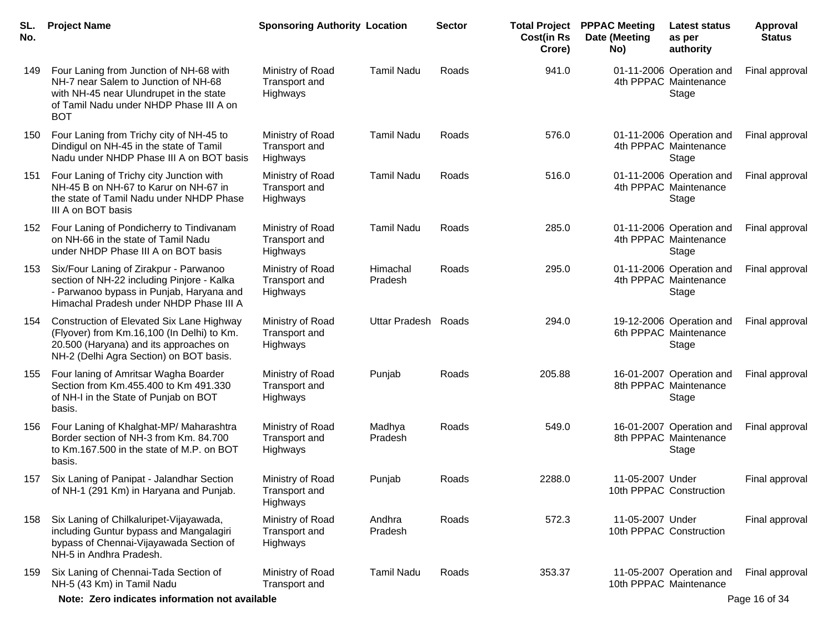| SL.<br>No. | <b>Project Name</b>                                                                                                                                                                 | <b>Sponsoring Authority Location</b>                 |                     | <b>Sector</b> | <b>Cost(in Rs</b><br>Crore) | <b>Total Project PPPAC Meeting</b><br>Date (Meeting<br>No) | <b>Latest status</b><br>as per<br>authority                | Approval<br><b>Status</b> |
|------------|-------------------------------------------------------------------------------------------------------------------------------------------------------------------------------------|------------------------------------------------------|---------------------|---------------|-----------------------------|------------------------------------------------------------|------------------------------------------------------------|---------------------------|
| 149        | Four Laning from Junction of NH-68 with<br>NH-7 near Salem to Junction of NH-68<br>with NH-45 near Ulundrupet in the state<br>of Tamil Nadu under NHDP Phase III A on<br><b>BOT</b> | Ministry of Road<br>Transport and<br>Highways        | <b>Tamil Nadu</b>   | Roads         | 941.0                       |                                                            | 01-11-2006 Operation and<br>4th PPPAC Maintenance<br>Stage | Final approval            |
| 150        | Four Laning from Trichy city of NH-45 to<br>Dindigul on NH-45 in the state of Tamil<br>Nadu under NHDP Phase III A on BOT basis                                                     | Ministry of Road<br>Transport and<br>Highways        | <b>Tamil Nadu</b>   | Roads         | 576.0                       |                                                            | 01-11-2006 Operation and<br>4th PPPAC Maintenance<br>Stage | Final approval            |
| 151        | Four Laning of Trichy city Junction with<br>NH-45 B on NH-67 to Karur on NH-67 in<br>the state of Tamil Nadu under NHDP Phase<br>III A on BOT basis                                 | Ministry of Road<br>Transport and<br>Highways        | <b>Tamil Nadu</b>   | Roads         | 516.0                       |                                                            | 01-11-2006 Operation and<br>4th PPPAC Maintenance<br>Stage | Final approval            |
| 152        | Four Laning of Pondicherry to Tindivanam<br>on NH-66 in the state of Tamil Nadu<br>under NHDP Phase III A on BOT basis                                                              | Ministry of Road<br>Transport and<br>Highways        | <b>Tamil Nadu</b>   | Roads         | 285.0                       |                                                            | 01-11-2006 Operation and<br>4th PPPAC Maintenance<br>Stage | Final approval            |
| 153        | Six/Four Laning of Zirakpur - Parwanoo<br>section of NH-22 including Pinjore - Kalka<br>- Parwanoo bypass in Punjab, Haryana and<br>Himachal Pradesh under NHDP Phase III A         | Ministry of Road<br>Transport and<br>Highways        | Himachal<br>Pradesh | Roads         | 295.0                       |                                                            | 01-11-2006 Operation and<br>4th PPPAC Maintenance<br>Stage | Final approval            |
| 154        | Construction of Elevated Six Lane Highway<br>(Flyover) from Km.16,100 (In Delhi) to Km.<br>20.500 (Haryana) and its approaches on<br>NH-2 (Delhi Agra Section) on BOT basis.        | Ministry of Road<br>Transport and<br><b>Highways</b> | Uttar Pradesh Roads |               | 294.0                       |                                                            | 19-12-2006 Operation and<br>6th PPPAC Maintenance<br>Stage | Final approval            |
| 155        | Four laning of Amritsar Wagha Boarder<br>Section from Km.455.400 to Km 491.330<br>of NH-I in the State of Punjab on BOT<br>basis.                                                   | Ministry of Road<br>Transport and<br><b>Highways</b> | Punjab              | Roads         | 205.88                      |                                                            | 16-01-2007 Operation and<br>8th PPPAC Maintenance<br>Stage | Final approval            |
| 156        | Four Laning of Khalghat-MP/ Maharashtra<br>Border section of NH-3 from Km. 84.700<br>to Km.167.500 in the state of M.P. on BOT<br>basis.                                            | Ministry of Road<br>Transport and<br><b>Highways</b> | Madhya<br>Pradesh   | Roads         | 549.0                       |                                                            | 16-01-2007 Operation and<br>8th PPPAC Maintenance<br>Stage | Final approval            |
| 157        | Six Laning of Panipat - Jalandhar Section<br>of NH-1 (291 Km) in Haryana and Punjab.                                                                                                | Ministry of Road<br>Transport and<br>Highways        | Punjab              | Roads         | 2288.0                      | 11-05-2007 Under                                           | 10th PPPAC Construction                                    | Final approval            |
| 158        | Six Laning of Chilkaluripet-Vijayawada,<br>including Guntur bypass and Mangalagiri<br>bypass of Chennai-Vijayawada Section of<br>NH-5 in Andhra Pradesh.                            | Ministry of Road<br>Transport and<br>Highways        | Andhra<br>Pradesh   | Roads         | 572.3                       | 11-05-2007 Under                                           | 10th PPPAC Construction                                    | Final approval            |
| 159        | Six Laning of Chennai-Tada Section of<br>NH-5 (43 Km) in Tamil Nadu                                                                                                                 | Ministry of Road<br>Transport and                    | <b>Tamil Nadu</b>   | Roads         | 353.37                      |                                                            | 11-05-2007 Operation and<br>10th PPPAC Maintenance         | Final approval            |
|            | Note: Zero indicates information not available                                                                                                                                      |                                                      |                     |               |                             |                                                            |                                                            | Page 16 of 34             |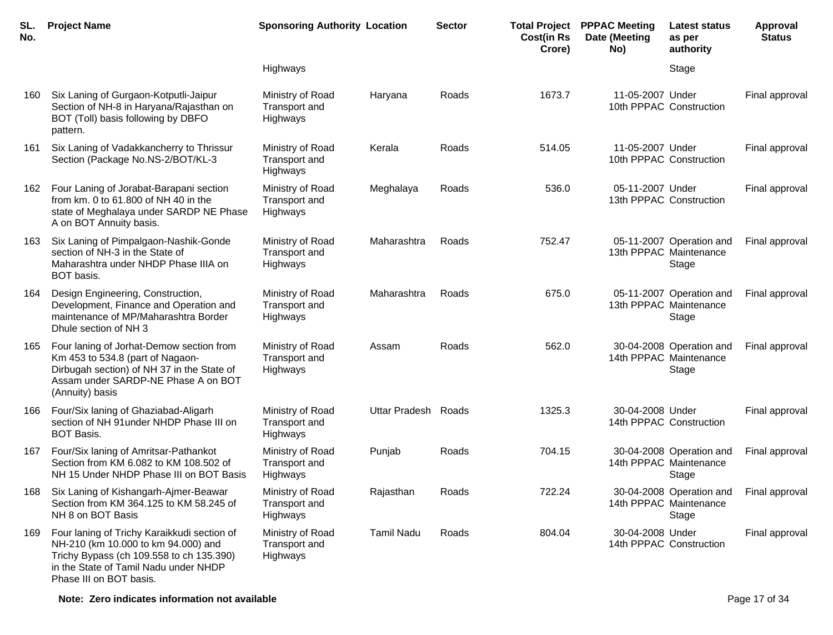| SL.<br>No. | <b>Project Name</b>                                                                                                                                                                                | <b>Sponsoring Authority Location</b>                 |                     | <b>Sector</b> | <b>Cost(in Rs</b><br>Crore) | <b>Total Project PPPAC Meeting</b><br>Date (Meeting<br>No) | Latest status<br>as per<br>authority                        | <b>Approval</b><br><b>Status</b> |
|------------|----------------------------------------------------------------------------------------------------------------------------------------------------------------------------------------------------|------------------------------------------------------|---------------------|---------------|-----------------------------|------------------------------------------------------------|-------------------------------------------------------------|----------------------------------|
|            |                                                                                                                                                                                                    | Highways                                             |                     |               |                             |                                                            | Stage                                                       |                                  |
| 160        | Six Laning of Gurgaon-Kotputli-Jaipur<br>Section of NH-8 in Haryana/Rajasthan on<br>BOT (Toll) basis following by DBFO<br>pattern.                                                                 | Ministry of Road<br>Transport and<br>Highways        | Haryana             | Roads         | 1673.7                      | 11-05-2007 Under                                           | 10th PPPAC Construction                                     | Final approval                   |
| 161        | Six Laning of Vadakkancherry to Thrissur<br>Section (Package No.NS-2/BOT/KL-3                                                                                                                      | Ministry of Road<br><b>Transport and</b><br>Highways | Kerala              | Roads         | 514.05                      | 11-05-2007 Under                                           | 10th PPPAC Construction                                     | Final approval                   |
| 162        | Four Laning of Jorabat-Barapani section<br>from km. 0 to 61.800 of NH 40 in the<br>state of Meghalaya under SARDP NE Phase<br>A on BOT Annuity basis.                                              | Ministry of Road<br>Transport and<br>Highways        | Meghalaya           | Roads         | 536.0                       | 05-11-2007 Under                                           | 13th PPPAC Construction                                     | Final approval                   |
| 163        | Six Laning of Pimpalgaon-Nashik-Gonde<br>section of NH-3 in the State of<br>Maharashtra under NHDP Phase IIIA on<br>BOT basis.                                                                     | Ministry of Road<br><b>Transport and</b><br>Highways | Maharashtra         | Roads         | 752.47                      |                                                            | 05-11-2007 Operation and<br>13th PPPAC Maintenance<br>Stage | Final approval                   |
| 164        | Design Engineering, Construction,<br>Development, Finance and Operation and<br>maintenance of MP/Maharashtra Border<br>Dhule section of NH 3                                                       | Ministry of Road<br>Transport and<br>Highways        | Maharashtra         | Roads         | 675.0                       |                                                            | 05-11-2007 Operation and<br>13th PPPAC Maintenance<br>Stage | Final approval                   |
| 165        | Four laning of Jorhat-Demow section from<br>Km 453 to 534.8 (part of Nagaon-<br>Dirbugah section) of NH 37 in the State of<br>Assam under SARDP-NE Phase A on BOT<br>(Annuity) basis               | Ministry of Road<br>Transport and<br>Highways        | Assam               | Roads         | 562.0                       |                                                            | 30-04-2008 Operation and<br>14th PPPAC Maintenance<br>Stage | Final approval                   |
| 166        | Four/Six laning of Ghaziabad-Aligarh<br>section of NH 91 under NHDP Phase III on<br><b>BOT Basis.</b>                                                                                              | Ministry of Road<br><b>Transport and</b><br>Highways | Uttar Pradesh Roads |               | 1325.3                      | 30-04-2008 Under                                           | 14th PPPAC Construction                                     | Final approval                   |
| 167        | Four/Six laning of Amritsar-Pathankot<br>Section from KM 6.082 to KM 108.502 of<br>NH 15 Under NHDP Phase III on BOT Basis                                                                         | Ministry of Road<br>Transport and<br>Highways        | Punjab              | Roads         | 704.15                      |                                                            | 30-04-2008 Operation and<br>14th PPPAC Maintenance<br>Stage | Final approval                   |
| 168        | Six Laning of Kishangarh-Ajmer-Beawar<br>Section from KM 364.125 to KM 58.245 of<br>NH 8 on BOT Basis                                                                                              | Ministry of Road<br>Transport and<br>Highways        | Rajasthan           | Roads         | 722.24                      |                                                            | 30-04-2008 Operation and<br>14th PPPAC Maintenance<br>Stage | Final approval                   |
| 169        | Four laning of Trichy Karaikkudi section of<br>NH-210 (km 10.000 to km 94.000) and<br>Trichy Bypass (ch 109.558 to ch 135.390)<br>in the State of Tamil Nadu under NHDP<br>Phase III on BOT basis. | Ministry of Road<br>Transport and<br>Highways        | <b>Tamil Nadu</b>   | Roads         | 804.04                      | 30-04-2008 Under<br>14th PPPAC Construction                |                                                             | Final approval                   |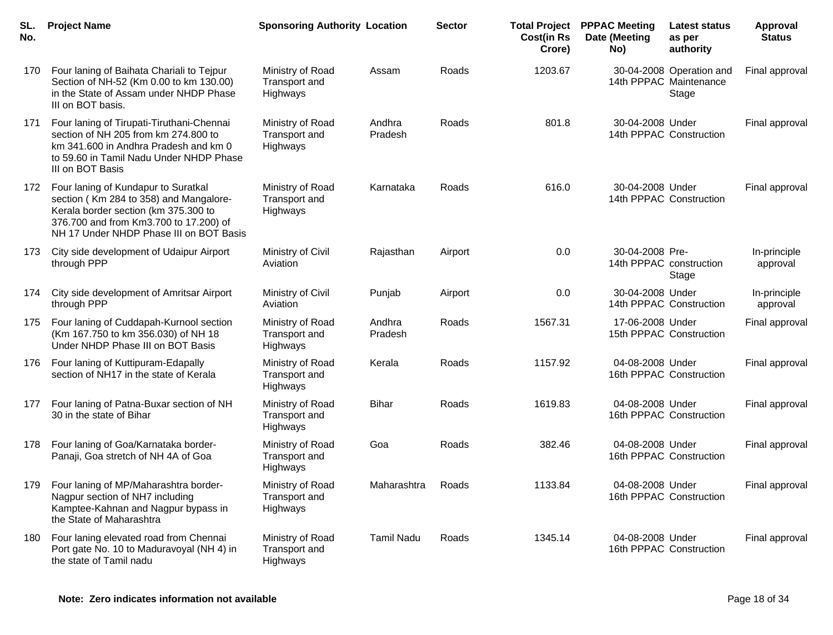| SL.<br>No. | <b>Project Name</b>                                                                                                                                                                                        | <b>Sponsoring Authority Location</b>                 |                   | <b>Sector</b> | <b>Cost(in Rs</b><br>Crore) | <b>Total Project PPPAC Meeting</b><br>Date (Meeting<br>No) | <b>Latest status</b><br>as per<br>authority                 | <b>Approval</b><br><b>Status</b> |
|------------|------------------------------------------------------------------------------------------------------------------------------------------------------------------------------------------------------------|------------------------------------------------------|-------------------|---------------|-----------------------------|------------------------------------------------------------|-------------------------------------------------------------|----------------------------------|
| 170        | Four laning of Baihata Chariali to Tejpur<br>Section of NH-52 (Km 0.00 to km 130.00)<br>in the State of Assam under NHDP Phase<br>III on BOT basis.                                                        | Ministry of Road<br>Transport and<br>Highways        | Assam             | Roads         | 1203.67                     |                                                            | 30-04-2008 Operation and<br>14th PPPAC Maintenance<br>Stage | Final approval                   |
| 171        | Four laning of Tirupati-Tiruthani-Chennai<br>section of NH 205 from km 274.800 to<br>km 341.600 in Andhra Pradesh and km 0<br>to 59.60 in Tamil Nadu Under NHDP Phase<br>III on BOT Basis                  | Ministry of Road<br>Transport and<br>Highways        | Andhra<br>Pradesh | Roads         | 801.8                       | 30-04-2008 Under                                           | 14th PPPAC Construction                                     | Final approval                   |
| 172        | Four laning of Kundapur to Suratkal<br>section (Km 284 to 358) and Mangalore-<br>Kerala border section (km 375.300 to<br>376.700 and from Km3.700 to 17.200) of<br>NH 17 Under NHDP Phase III on BOT Basis | Ministry of Road<br><b>Transport and</b><br>Highways | Karnataka         | Roads         | 616.0                       | 30-04-2008 Under                                           | 14th PPPAC Construction                                     | Final approval                   |
| 173        | City side development of Udaipur Airport<br>through PPP                                                                                                                                                    | Ministry of Civil<br>Aviation                        | Rajasthan         | Airport       | 0.0                         | 30-04-2008 Pre-                                            | 14th PPPAC construction<br>Stage                            | In-principle<br>approval         |
| 174        | City side development of Amritsar Airport<br>through PPP                                                                                                                                                   | Ministry of Civil<br>Aviation                        | Punjab            | Airport       | 0.0                         | 30-04-2008 Under                                           | 14th PPPAC Construction                                     | In-principle<br>approval         |
| 175        | Four laning of Cuddapah-Kurnool section<br>(Km 167.750 to km 356.030) of NH 18<br>Under NHDP Phase III on BOT Basis                                                                                        | Ministry of Road<br>Transport and<br>Highways        | Andhra<br>Pradesh | Roads         | 1567.31                     | 17-06-2008 Under                                           | 15th PPPAC Construction                                     | Final approval                   |
| 176        | Four laning of Kuttipuram-Edapally<br>section of NH17 in the state of Kerala                                                                                                                               | Ministry of Road<br><b>Transport and</b><br>Highways | Kerala            | Roads         | 1157.92                     | 04-08-2008 Under                                           | 16th PPPAC Construction                                     | Final approval                   |
| 177        | Four laning of Patna-Buxar section of NH<br>30 in the state of Bihar                                                                                                                                       | Ministry of Road<br>Transport and<br>Highways        | <b>Bihar</b>      | Roads         | 1619.83                     | 04-08-2008 Under                                           | 16th PPPAC Construction                                     | Final approval                   |
| 178        | Four laning of Goa/Karnataka border-<br>Panaji, Goa stretch of NH 4A of Goa                                                                                                                                | Ministry of Road<br><b>Transport and</b><br>Highways | Goa               | Roads         | 382.46                      | 04-08-2008 Under                                           | 16th PPPAC Construction                                     | Final approval                   |
| 179        | Four laning of MP/Maharashtra border-<br>Nagpur section of NH7 including<br>Kamptee-Kahnan and Nagpur bypass in<br>the State of Maharashtra                                                                | Ministry of Road<br>Transport and<br>Highways        | Maharashtra       | Roads         | 1133.84                     | 04-08-2008 Under                                           | 16th PPPAC Construction                                     | Final approval                   |
| 180        | Four laning elevated road from Chennai<br>Port gate No. 10 to Maduravoyal (NH 4) in<br>the state of Tamil nadu                                                                                             | Ministry of Road<br>Transport and<br>Highways        | <b>Tamil Nadu</b> | Roads         | 1345.14                     | 04-08-2008 Under                                           | 16th PPPAC Construction                                     | Final approval                   |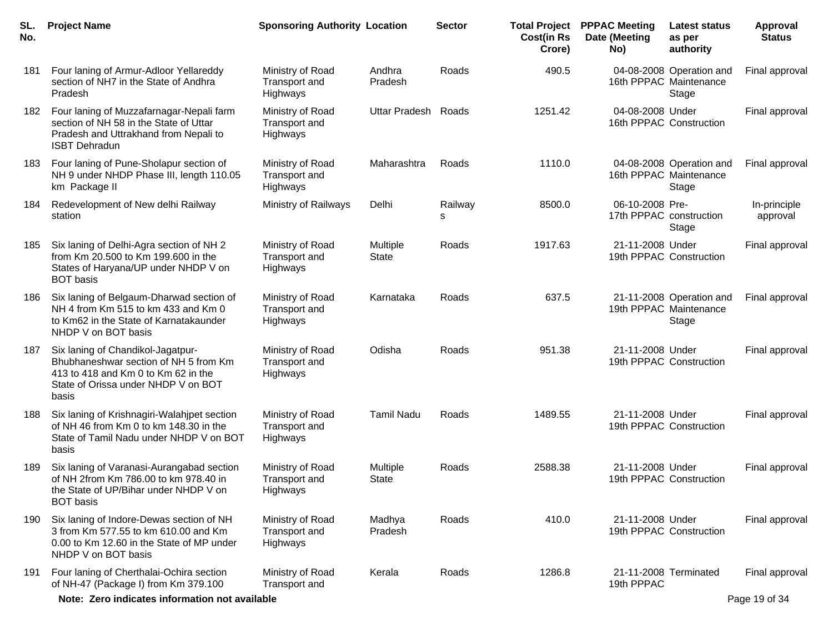| SL.<br>No. | <b>Project Name</b>                                                                                                                                               | <b>Sponsoring Authority Location</b>          |                                 | <b>Sector</b> | <b>Total Project</b><br><b>Cost(in Rs</b><br>Crore) | <b>PPPAC Meeting</b><br>Date (Meeting<br>No) | Latest status<br>as per<br>authority                        | Approval<br><b>Status</b> |
|------------|-------------------------------------------------------------------------------------------------------------------------------------------------------------------|-----------------------------------------------|---------------------------------|---------------|-----------------------------------------------------|----------------------------------------------|-------------------------------------------------------------|---------------------------|
| 181        | Four laning of Armur-Adloor Yellareddy<br>section of NH7 in the State of Andhra<br>Pradesh                                                                        | Ministry of Road<br>Transport and<br>Highways | Andhra<br>Pradesh               | Roads         | 490.5                                               |                                              | 04-08-2008 Operation and<br>16th PPPAC Maintenance<br>Stage | Final approval            |
| 182        | Four laning of Muzzafarnagar-Nepali farm<br>section of NH 58 in the State of Uttar<br>Pradesh and Uttrakhand from Nepali to<br><b>ISBT Dehradun</b>               | Ministry of Road<br>Transport and<br>Highways | Uttar Pradesh Roads             |               | 1251.42                                             | 04-08-2008 Under                             | 16th PPPAC Construction                                     | Final approval            |
| 183        | Four laning of Pune-Sholapur section of<br>NH 9 under NHDP Phase III, length 110.05<br>km Package II                                                              | Ministry of Road<br>Transport and<br>Highways | Maharashtra                     | Roads         | 1110.0                                              |                                              | 04-08-2008 Operation and<br>16th PPPAC Maintenance<br>Stage | Final approval            |
| 184        | Redevelopment of New delhi Railway<br>station                                                                                                                     | Ministry of Railways                          | Delhi                           | Railway<br>s  | 8500.0                                              | 06-10-2008 Pre-<br>17th PPPAC construction   | Stage                                                       | In-principle<br>approval  |
| 185        | Six laning of Delhi-Agra section of NH 2<br>from Km 20.500 to Km 199.600 in the<br>States of Haryana/UP under NHDP V on<br><b>BOT</b> basis                       | Ministry of Road<br>Transport and<br>Highways | <b>Multiple</b><br><b>State</b> | Roads         | 1917.63                                             | 21-11-2008 Under                             | 19th PPPAC Construction                                     | Final approval            |
| 186        | Six laning of Belgaum-Dharwad section of<br>NH 4 from Km 515 to km 433 and Km 0<br>to Km62 in the State of Karnatakaunder<br>NHDP V on BOT basis                  | Ministry of Road<br>Transport and<br>Highways | Karnataka                       | Roads         | 637.5                                               |                                              | 21-11-2008 Operation and<br>19th PPPAC Maintenance<br>Stage | Final approval            |
| 187        | Six laning of Chandikol-Jagatpur-<br>Bhubhaneshwar section of NH 5 from Km<br>413 to 418 and Km 0 to Km 62 in the<br>State of Orissa under NHDP V on BOT<br>basis | Ministry of Road<br>Transport and<br>Highways | Odisha                          | Roads         | 951.38                                              | 21-11-2008 Under                             | 19th PPPAC Construction                                     | Final approval            |
| 188        | Six laning of Krishnagiri-Walahipet section<br>of NH 46 from Km 0 to km 148.30 in the<br>State of Tamil Nadu under NHDP V on BOT<br>basis                         | Ministry of Road<br>Transport and<br>Highways | <b>Tamil Nadu</b>               | Roads         | 1489.55                                             | 21-11-2008 Under                             | 19th PPPAC Construction                                     | Final approval            |
| 189        | Six laning of Varanasi-Aurangabad section<br>of NH 2from Km 786.00 to km 978.40 in<br>the State of UP/Bihar under NHDP V on<br><b>BOT</b> basis                   | Ministry of Road<br>Transport and<br>Highways | Multiple<br><b>State</b>        | Roads         | 2588.38                                             | 21-11-2008 Under                             | 19th PPPAC Construction                                     | Final approval            |
| 190        | Six laning of Indore-Dewas section of NH<br>3 from Km 577.55 to km 610.00 and Km<br>0.00 to Km 12.60 in the State of MP under<br>NHDP V on BOT basis              | Ministry of Road<br>Transport and<br>Highways | Madhya<br>Pradesh               | Roads         | 410.0                                               | 21-11-2008 Under                             | 19th PPPAC Construction                                     | Final approval            |
| 191        | Four laning of Cherthalai-Ochira section<br>of NH-47 (Package I) from Km 379.100                                                                                  | Ministry of Road<br>Transport and             | Kerala                          | Roads         | 1286.8                                              | 19th PPPAC                                   | 21-11-2008 Terminated                                       | Final approval            |
|            | Note: Zero indicates information not available                                                                                                                    |                                               |                                 |               |                                                     |                                              |                                                             | Page 19 of 34             |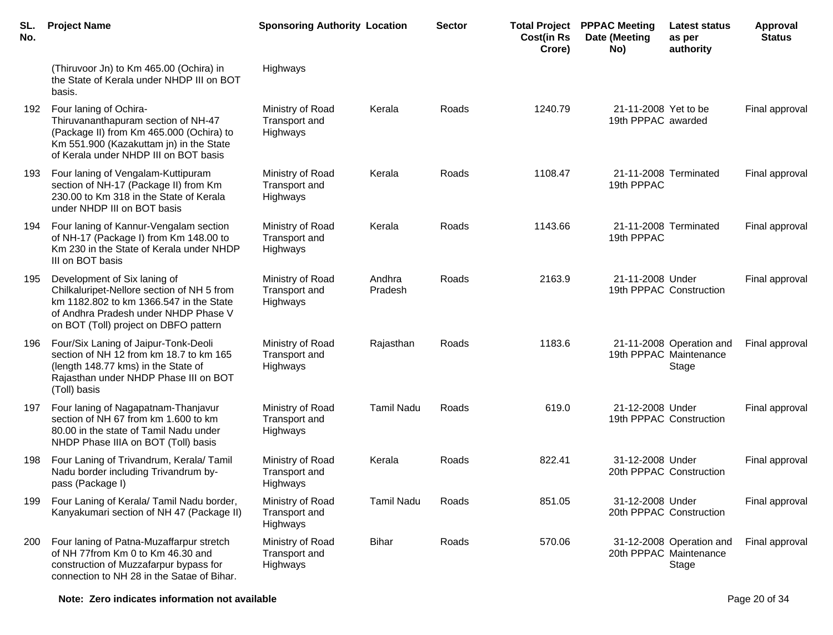| SL.<br>No. | <b>Project Name</b>                                                                                                                                                                                    | <b>Sponsoring Authority Location</b>                 |                   | <b>Sector</b> | <b>Cost(in Rs</b><br>Crore) | <b>Total Project PPPAC Meeting</b><br>Date (Meeting<br>No) | Latest status<br>as per<br>authority                        | Approval<br><b>Status</b> |
|------------|--------------------------------------------------------------------------------------------------------------------------------------------------------------------------------------------------------|------------------------------------------------------|-------------------|---------------|-----------------------------|------------------------------------------------------------|-------------------------------------------------------------|---------------------------|
|            | (Thiruvoor Jn) to Km 465.00 (Ochira) in<br>the State of Kerala under NHDP III on BOT<br>basis.                                                                                                         | Highways                                             |                   |               |                             |                                                            |                                                             |                           |
| 192        | Four laning of Ochira-<br>Thiruvananthapuram section of NH-47<br>(Package II) from Km 465.000 (Ochira) to<br>Km 551.900 (Kazakuttam jn) in the State<br>of Kerala under NHDP III on BOT basis          | Ministry of Road<br>Transport and<br>Highways        | Kerala            | Roads         | 1240.79                     | 21-11-2008 Yet to be<br>19th PPPAC awarded                 |                                                             | Final approval            |
| 193        | Four laning of Vengalam-Kuttipuram<br>section of NH-17 (Package II) from Km<br>230.00 to Km 318 in the State of Kerala<br>under NHDP III on BOT basis                                                  | Ministry of Road<br>Transport and<br>Highways        | Kerala            | Roads         | 1108.47                     | 19th PPPAC                                                 | 21-11-2008 Terminated                                       | Final approval            |
| 194        | Four laning of Kannur-Vengalam section<br>of NH-17 (Package I) from Km 148.00 to<br>Km 230 in the State of Kerala under NHDP<br>III on BOT basis                                                       | Ministry of Road<br>Transport and<br>Highways        | Kerala            | Roads         | 1143.66                     | 19th PPPAC                                                 | 21-11-2008 Terminated                                       | Final approval            |
| 195        | Development of Six laning of<br>Chilkaluripet-Nellore section of NH 5 from<br>km 1182.802 to km 1366.547 in the State<br>of Andhra Pradesh under NHDP Phase V<br>on BOT (Toll) project on DBFO pattern | Ministry of Road<br>Transport and<br>Highways        | Andhra<br>Pradesh | Roads         | 2163.9                      | 21-11-2008 Under                                           | 19th PPPAC Construction                                     | Final approval            |
| 196        | Four/Six Laning of Jaipur-Tonk-Deoli<br>section of NH 12 from km 18.7 to km 165<br>(length 148.77 kms) in the State of<br>Rajasthan under NHDP Phase III on BOT<br>(Toll) basis                        | Ministry of Road<br>Transport and<br>Highways        | Rajasthan         | Roads         | 1183.6                      |                                                            | 21-11-2008 Operation and<br>19th PPPAC Maintenance<br>Stage | Final approval            |
| 197        | Four laning of Nagapatnam-Thanjavur<br>section of NH 67 from km 1.600 to km<br>80.00 in the state of Tamil Nadu under<br>NHDP Phase IIIA on BOT (Toll) basis                                           | Ministry of Road<br>Transport and<br>Highways        | <b>Tamil Nadu</b> | Roads         | 619.0                       | 21-12-2008 Under                                           | 19th PPPAC Construction                                     | Final approval            |
| 198        | Four Laning of Trivandrum, Kerala/Tamil<br>Nadu border including Trivandrum by-<br>pass (Package I)                                                                                                    | Ministry of Road<br><b>Transport and</b><br>Highways | Kerala            | Roads         | 822.41                      | 31-12-2008 Under                                           | 20th PPPAC Construction                                     | Final approval            |
| 199        | Four Laning of Kerala/ Tamil Nadu border,<br>Kanyakumari section of NH 47 (Package II)                                                                                                                 | Ministry of Road<br>Transport and<br>Highways        | <b>Tamil Nadu</b> | Roads         | 851.05                      | 31-12-2008 Under                                           | 20th PPPAC Construction                                     | Final approval            |
| 200        | Four laning of Patna-Muzaffarpur stretch<br>of NH 77from Km 0 to Km 46.30 and<br>construction of Muzzafarpur bypass for<br>connection to NH 28 in the Satae of Bihar.                                  | Ministry of Road<br>Transport and<br>Highways        | <b>Bihar</b>      | Roads         | 570.06                      |                                                            | 31-12-2008 Operation and<br>20th PPPAC Maintenance<br>Stage | Final approval            |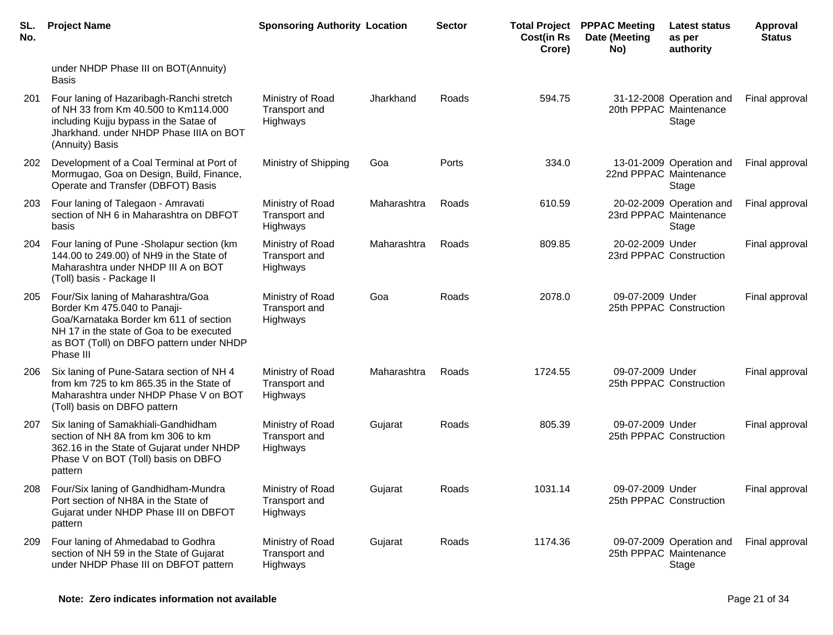| SL.<br>No. | <b>Project Name</b>                                                                                                                                                                                               | <b>Sponsoring Authority Location</b>          |             | <b>Sector</b> | <b>Cost(in Rs</b><br>Crore) | <b>Total Project PPPAC Meeting</b><br>Date (Meeting<br>No) | Latest status<br>as per<br>authority                        | Approval<br><b>Status</b> |
|------------|-------------------------------------------------------------------------------------------------------------------------------------------------------------------------------------------------------------------|-----------------------------------------------|-------------|---------------|-----------------------------|------------------------------------------------------------|-------------------------------------------------------------|---------------------------|
|            | under NHDP Phase III on BOT(Annuity)<br><b>Basis</b>                                                                                                                                                              |                                               |             |               |                             |                                                            |                                                             |                           |
| 201        | Four laning of Hazaribagh-Ranchi stretch<br>of NH 33 from Km 40.500 to Km114.000<br>including Kujju bypass in the Satae of<br>Jharkhand. under NHDP Phase IIIA on BOT<br>(Annuity) Basis                          | Ministry of Road<br>Transport and<br>Highways | Jharkhand   | Roads         | 594.75                      |                                                            | 31-12-2008 Operation and<br>20th PPPAC Maintenance<br>Stage | Final approval            |
| 202        | Development of a Coal Terminal at Port of<br>Mormugao, Goa on Design, Build, Finance,<br>Operate and Transfer (DBFOT) Basis                                                                                       | Ministry of Shipping                          | Goa         | Ports         | 334.0                       |                                                            | 13-01-2009 Operation and<br>22nd PPPAC Maintenance<br>Stage | Final approval            |
| 203        | Four laning of Talegaon - Amravati<br>section of NH 6 in Maharashtra on DBFOT<br>basis                                                                                                                            | Ministry of Road<br>Transport and<br>Highways | Maharashtra | Roads         | 610.59                      |                                                            | 20-02-2009 Operation and<br>23rd PPPAC Maintenance<br>Stage | Final approval            |
| 204        | Four laning of Pune - Sholapur section (km<br>144.00 to 249.00) of NH9 in the State of<br>Maharashtra under NHDP III A on BOT<br>(Toll) basis - Package II                                                        | Ministry of Road<br>Transport and<br>Highways | Maharashtra | Roads         | 809.85                      | 20-02-2009 Under                                           | 23rd PPPAC Construction                                     | Final approval            |
| 205        | Four/Six laning of Maharashtra/Goa<br>Border Km 475.040 to Panaji-<br>Goa/Karnataka Border km 611 of section<br>NH 17 in the state of Goa to be executed<br>as BOT (Toll) on DBFO pattern under NHDP<br>Phase III | Ministry of Road<br>Transport and<br>Highways | Goa         | Roads         | 2078.0                      | 09-07-2009 Under                                           | 25th PPPAC Construction                                     | Final approval            |
| 206        | Six laning of Pune-Satara section of NH 4<br>from km 725 to km 865.35 in the State of<br>Maharashtra under NHDP Phase V on BOT<br>(Toll) basis on DBFO pattern                                                    | Ministry of Road<br>Transport and<br>Highways | Maharashtra | Roads         | 1724.55                     | 09-07-2009 Under                                           | 25th PPPAC Construction                                     | Final approval            |
| 207        | Six laning of Samakhiali-Gandhidham<br>section of NH 8A from km 306 to km<br>362.16 in the State of Gujarat under NHDP<br>Phase V on BOT (Toll) basis on DBFO<br>pattern                                          | Ministry of Road<br>Transport and<br>Highways | Gujarat     | Roads         | 805.39                      | 09-07-2009 Under                                           | 25th PPPAC Construction                                     | Final approval            |
| 208        | Four/Six laning of Gandhidham-Mundra<br>Port section of NH8A in the State of<br>Gujarat under NHDP Phase III on DBFOT<br>pattern                                                                                  | Ministry of Road<br>Transport and<br>Highways | Gujarat     | Roads         | 1031.14                     | 09-07-2009 Under                                           | 25th PPPAC Construction                                     | Final approval            |
| 209        | Four laning of Ahmedabad to Godhra<br>section of NH 59 in the State of Gujarat<br>under NHDP Phase III on DBFOT pattern                                                                                           | Ministry of Road<br>Transport and<br>Highways | Gujarat     | Roads         | 1174.36                     |                                                            | 09-07-2009 Operation and<br>25th PPPAC Maintenance<br>Stage | Final approval            |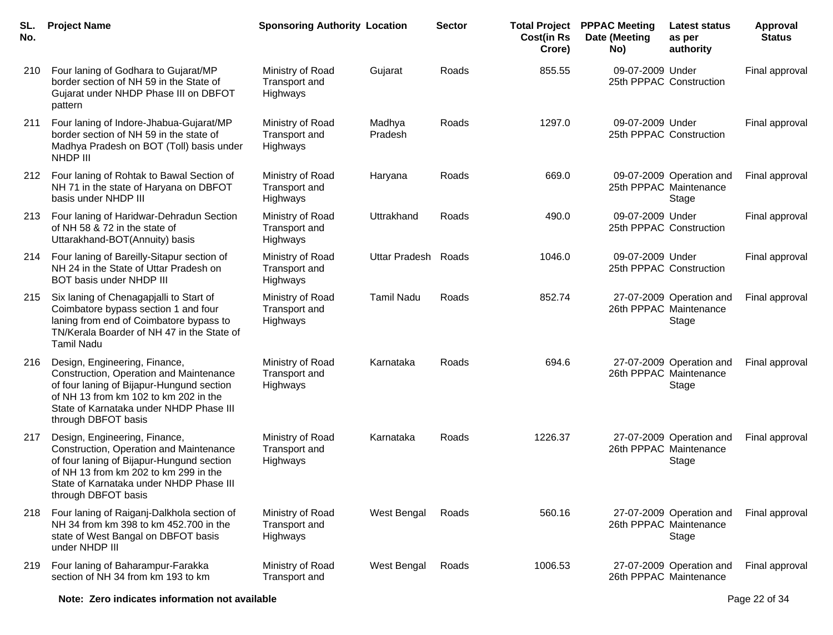| SL.<br>No. | <b>Project Name</b>                                                                                                                                                                                                              | <b>Sponsoring Authority Location</b>                 |                     | <b>Sector</b> | <b>Cost(in Rs</b><br>Crore) | <b>Total Project PPPAC Meeting</b><br>Date (Meeting<br>No) | <b>Latest status</b><br>as per<br>authority                 | Approval<br><b>Status</b> |
|------------|----------------------------------------------------------------------------------------------------------------------------------------------------------------------------------------------------------------------------------|------------------------------------------------------|---------------------|---------------|-----------------------------|------------------------------------------------------------|-------------------------------------------------------------|---------------------------|
| 210        | Four laning of Godhara to Gujarat/MP<br>border section of NH 59 in the State of<br>Gujarat under NHDP Phase III on DBFOT<br>pattern                                                                                              | Ministry of Road<br>Transport and<br>Highways        | Gujarat             | Roads         | 855.55                      | 09-07-2009 Under                                           | 25th PPPAC Construction                                     | Final approval            |
| 211        | Four laning of Indore-Jhabua-Gujarat/MP<br>border section of NH 59 in the state of<br>Madhya Pradesh on BOT (Toll) basis under<br>NHDP III                                                                                       | Ministry of Road<br>Transport and<br>Highways        | Madhya<br>Pradesh   | Roads         | 1297.0                      | 09-07-2009 Under                                           | 25th PPPAC Construction                                     | Final approval            |
| 212        | Four laning of Rohtak to Bawal Section of<br>NH 71 in the state of Haryana on DBFOT<br>basis under NHDP III                                                                                                                      | Ministry of Road<br>Transport and<br>Highways        | Haryana             | Roads         | 669.0                       |                                                            | 09-07-2009 Operation and<br>25th PPPAC Maintenance<br>Stage | Final approval            |
| 213        | Four laning of Haridwar-Dehradun Section<br>of NH 58 & 72 in the state of<br>Uttarakhand-BOT(Annuity) basis                                                                                                                      | Ministry of Road<br><b>Transport and</b><br>Highways | Uttrakhand          | Roads         | 490.0                       | 09-07-2009 Under                                           | 25th PPPAC Construction                                     | Final approval            |
| 214        | Four laning of Bareilly-Sitapur section of<br>NH 24 in the State of Uttar Pradesh on<br>BOT basis under NHDP III                                                                                                                 | Ministry of Road<br>Transport and<br>Highways        | Uttar Pradesh Roads |               | 1046.0                      | 09-07-2009 Under                                           | 25th PPPAC Construction                                     | Final approval            |
| 215        | Six laning of Chenagapjalli to Start of<br>Coimbatore bypass section 1 and four<br>laning from end of Coimbatore bypass to<br>TN/Kerala Boarder of NH 47 in the State of<br><b>Tamil Nadu</b>                                    | Ministry of Road<br>Transport and<br>Highways        | <b>Tamil Nadu</b>   | Roads         | 852.74                      |                                                            | 27-07-2009 Operation and<br>26th PPPAC Maintenance<br>Stage | Final approval            |
| 216        | Design, Engineering, Finance,<br>Construction, Operation and Maintenance<br>of four laning of Bijapur-Hungund section<br>of NH 13 from km 102 to km 202 in the<br>State of Karnataka under NHDP Phase III<br>through DBFOT basis | Ministry of Road<br><b>Transport and</b><br>Highways | Karnataka           | Roads         | 694.6                       |                                                            | 27-07-2009 Operation and<br>26th PPPAC Maintenance<br>Stage | Final approval            |
| 217        | Design, Engineering, Finance,<br>Construction, Operation and Maintenance<br>of four laning of Bijapur-Hungund section<br>of NH 13 from km 202 to km 299 in the<br>State of Karnataka under NHDP Phase III<br>through DBFOT basis | Ministry of Road<br>Transport and<br>Highways        | Karnataka           | Roads         | 1226.37                     |                                                            | 27-07-2009 Operation and<br>26th PPPAC Maintenance<br>Stage | Final approval            |
| 218        | Four laning of Raiganj-Dalkhola section of<br>NH 34 from km 398 to km 452.700 in the<br>state of West Bangal on DBFOT basis<br>under NHDP III                                                                                    | Ministry of Road<br>Transport and<br>Highways        | West Bengal         | Roads         | 560.16                      |                                                            | 27-07-2009 Operation and<br>26th PPPAC Maintenance<br>Stage | Final approval            |
| 219        | Four laning of Baharampur-Farakka<br>section of NH 34 from km 193 to km                                                                                                                                                          | Ministry of Road<br>Transport and                    | West Bengal         | Roads         | 1006.53                     |                                                            | 27-07-2009 Operation and<br>26th PPPAC Maintenance          | Final approval            |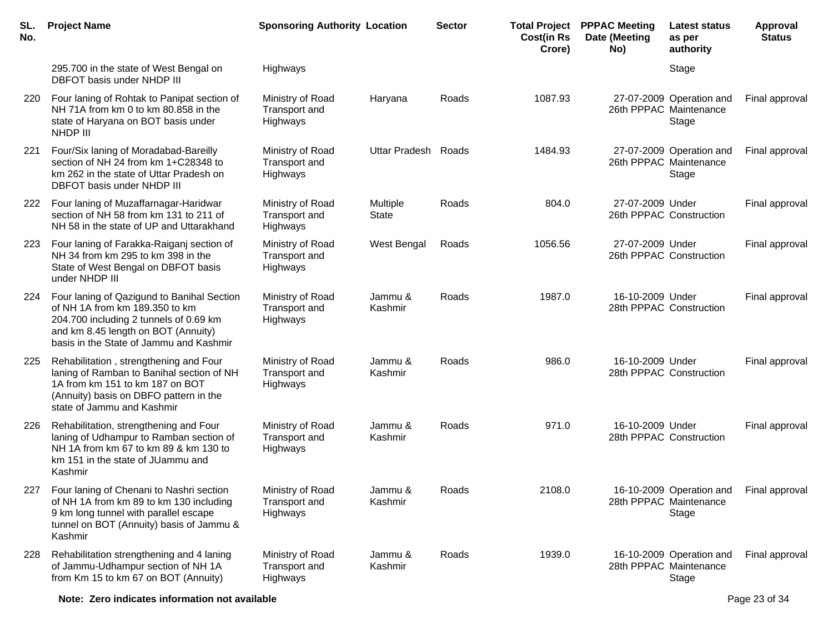| SL.<br>No. | <b>Project Name</b>                                                                                                                                                                                      | <b>Sponsoring Authority Location</b>                 |                          | <b>Sector</b> | <b>Cost(in Rs</b><br>Crore) | <b>Total Project PPPAC Meeting</b><br>Date (Meeting<br>No) | <b>Latest status</b><br>as per<br>authority                 | Approval<br><b>Status</b> |
|------------|----------------------------------------------------------------------------------------------------------------------------------------------------------------------------------------------------------|------------------------------------------------------|--------------------------|---------------|-----------------------------|------------------------------------------------------------|-------------------------------------------------------------|---------------------------|
|            | 295.700 in the state of West Bengal on<br>DBFOT basis under NHDP III                                                                                                                                     | <b>Highways</b>                                      |                          |               |                             |                                                            | Stage                                                       |                           |
| 220        | Four laning of Rohtak to Panipat section of<br>NH 71A from km 0 to km 80.858 in the<br>state of Haryana on BOT basis under<br>NHDP III                                                                   | Ministry of Road<br>Transport and<br>Highways        | Haryana                  | Roads         | 1087.93                     |                                                            | 27-07-2009 Operation and<br>26th PPPAC Maintenance<br>Stage | Final approval            |
| 221        | Four/Six laning of Moradabad-Bareilly<br>section of NH 24 from km 1+C28348 to<br>km 262 in the state of Uttar Pradesh on<br>DBFOT basis under NHDP III                                                   | Ministry of Road<br>Transport and<br>Highways        | Uttar Pradesh Roads      |               | 1484.93                     |                                                            | 27-07-2009 Operation and<br>26th PPPAC Maintenance<br>Stage | Final approval            |
| 222        | Four laning of Muzaffarnagar-Haridwar<br>section of NH 58 from km 131 to 211 of<br>NH 58 in the state of UP and Uttarakhand                                                                              | Ministry of Road<br>Transport and<br>Highways        | Multiple<br><b>State</b> | Roads         | 804.0                       | 27-07-2009 Under                                           | 26th PPPAC Construction                                     | Final approval            |
| 223        | Four laning of Farakka-Raiganj section of<br>NH 34 from km 295 to km 398 in the<br>State of West Bengal on DBFOT basis<br>under NHDP III                                                                 | Ministry of Road<br>Transport and<br>Highways        | West Bengal              | Roads         | 1056.56                     | 27-07-2009 Under                                           | 26th PPPAC Construction                                     | Final approval            |
| 224        | Four laning of Qazigund to Banihal Section<br>of NH 1A from km 189.350 to km<br>204.700 including 2 tunnels of 0.69 km<br>and km 8.45 length on BOT (Annuity)<br>basis in the State of Jammu and Kashmir | Ministry of Road<br>Transport and<br>Highways        | Jammu &<br>Kashmir       | Roads         | 1987.0                      | 16-10-2009 Under                                           | 28th PPPAC Construction                                     | Final approval            |
| 225        | Rehabilitation, strengthening and Four<br>laning of Ramban to Banihal section of NH<br>1A from km 151 to km 187 on BOT<br>(Annuity) basis on DBFO pattern in the<br>state of Jammu and Kashmir           | Ministry of Road<br>Transport and<br><b>Highways</b> | Jammu &<br>Kashmir       | Roads         | 986.0                       | 16-10-2009 Under                                           | 28th PPPAC Construction                                     | Final approval            |
| 226        | Rehabilitation, strengthening and Four<br>laning of Udhampur to Ramban section of<br>NH 1A from km 67 to km 89 & km 130 to<br>km 151 in the state of JUammu and<br>Kashmir                               | Ministry of Road<br>Transport and<br><b>Highways</b> | Jammu &<br>Kashmir       | Roads         | 971.0                       | 16-10-2009 Under                                           | 28th PPPAC Construction                                     | Final approval            |
| 227        | Four laning of Chenani to Nashri section<br>of NH 1A from km 89 to km 130 including<br>9 km long tunnel with parallel escape<br>tunnel on BOT (Annuity) basis of Jammu &<br>Kashmir                      | Ministry of Road<br>Transport and<br>Highways        | Jammu &<br>Kashmir       | Roads         | 2108.0                      |                                                            | 16-10-2009 Operation and<br>28th PPPAC Maintenance<br>Stage | Final approval            |
| 228        | Rehabilitation strengthening and 4 laning<br>of Jammu-Udhampur section of NH 1A<br>from Km 15 to km 67 on BOT (Annuity)                                                                                  | Ministry of Road<br>Transport and<br>Highways        | Jammu &<br>Kashmir       | Roads         | 1939.0                      |                                                            | 16-10-2009 Operation and<br>28th PPPAC Maintenance<br>Stage | Final approval            |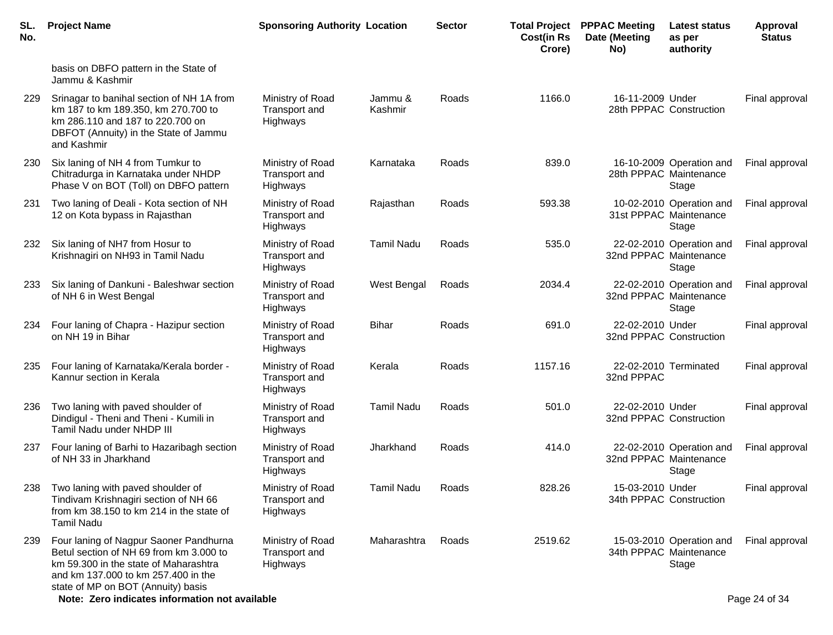| SL.<br>No. | <b>Project Name</b>                                                                                                                                                                                                                                       | <b>Sponsoring Authority Location</b>                 |                    | <b>Sector</b> | <b>Cost(in Rs</b><br>Crore) | <b>Total Project PPPAC Meeting</b><br>Date (Meeting<br>No) | <b>Latest status</b><br>as per<br>authority                 | <b>Approval</b><br><b>Status</b> |
|------------|-----------------------------------------------------------------------------------------------------------------------------------------------------------------------------------------------------------------------------------------------------------|------------------------------------------------------|--------------------|---------------|-----------------------------|------------------------------------------------------------|-------------------------------------------------------------|----------------------------------|
|            | basis on DBFO pattern in the State of<br>Jammu & Kashmir                                                                                                                                                                                                  |                                                      |                    |               |                             |                                                            |                                                             |                                  |
| 229        | Srinagar to banihal section of NH 1A from<br>km 187 to km 189.350, km 270.700 to<br>km 286.110 and 187 to 220.700 on<br>DBFOT (Annuity) in the State of Jammu<br>and Kashmir                                                                              | Ministry of Road<br>Transport and<br>Highways        | Jammu &<br>Kashmir | Roads         | 1166.0                      | 16-11-2009 Under                                           | 28th PPPAC Construction                                     | Final approval                   |
| 230        | Six laning of NH 4 from Tumkur to<br>Chitradurga in Karnataka under NHDP<br>Phase V on BOT (Toll) on DBFO pattern                                                                                                                                         | Ministry of Road<br>Transport and<br>Highways        | Karnataka          | Roads         | 839.0                       |                                                            | 16-10-2009 Operation and<br>28th PPPAC Maintenance<br>Stage | Final approval                   |
| 231        | Two laning of Deali - Kota section of NH<br>12 on Kota bypass in Rajasthan                                                                                                                                                                                | Ministry of Road<br>Transport and<br>Highways        | Rajasthan          | Roads         | 593.38                      |                                                            | 10-02-2010 Operation and<br>31st PPPAC Maintenance<br>Stage | Final approval                   |
| 232        | Six laning of NH7 from Hosur to<br>Krishnagiri on NH93 in Tamil Nadu                                                                                                                                                                                      | Ministry of Road<br>Transport and<br>Highways        | <b>Tamil Nadu</b>  | Roads         | 535.0                       |                                                            | 22-02-2010 Operation and<br>32nd PPPAC Maintenance<br>Stage | Final approval                   |
| 233        | Six laning of Dankuni - Baleshwar section<br>of NH 6 in West Bengal                                                                                                                                                                                       | Ministry of Road<br>Transport and<br>Highways        | West Bengal        | Roads         | 2034.4                      |                                                            | 22-02-2010 Operation and<br>32nd PPPAC Maintenance<br>Stage | Final approval                   |
| 234        | Four laning of Chapra - Hazipur section<br>on NH 19 in Bihar                                                                                                                                                                                              | Ministry of Road<br>Transport and<br>Highways        | Bihar              | Roads         | 691.0                       | 22-02-2010 Under<br>32nd PPPAC Construction                |                                                             | Final approval                   |
| 235        | Four laning of Karnataka/Kerala border -<br>Kannur section in Kerala                                                                                                                                                                                      | Ministry of Road<br>Transport and<br>Highways        | Kerala             | Roads         | 1157.16                     | 32nd PPPAC                                                 | 22-02-2010 Terminated                                       | Final approval                   |
| 236        | Two laning with paved shoulder of<br>Dindigul - Theni and Theni - Kumili in<br>Tamil Nadu under NHDP III                                                                                                                                                  | Ministry of Road<br>Transport and<br>Highways        | <b>Tamil Nadu</b>  | Roads         | 501.0                       | 22-02-2010 Under<br>32nd PPPAC Construction                |                                                             | Final approval                   |
| 237        | Four laning of Barhi to Hazaribagh section<br>of NH 33 in Jharkhand                                                                                                                                                                                       | Ministry of Road<br><b>Transport and</b><br>Highways | Jharkhand          | Roads         | 414.0                       |                                                            | 22-02-2010 Operation and<br>32nd PPPAC Maintenance<br>Stage | Final approval                   |
| 238        | Two laning with paved shoulder of<br>Tindivam Krishnagiri section of NH 66<br>from km 38.150 to km 214 in the state of<br><b>Tamil Nadu</b>                                                                                                               | Ministry of Road<br>Transport and<br>Highways        | <b>Tamil Nadu</b>  | Roads         | 828.26                      | 15-03-2010 Under                                           | 34th PPPAC Construction                                     | Final approval                   |
| 239        | Four laning of Nagpur Saoner Pandhurna<br>Betul section of NH 69 from km 3.000 to<br>km 59.300 in the state of Maharashtra<br>and km 137,000 to km 257,400 in the<br>state of MP on BOT (Annuity) basis<br>Note: Zero indicates information not available | Ministry of Road<br>Transport and<br>Highways        | Maharashtra        | Roads         | 2519.62                     |                                                            | 15-03-2010 Operation and<br>34th PPPAC Maintenance<br>Stage | Final approval<br>Page 24 of 34  |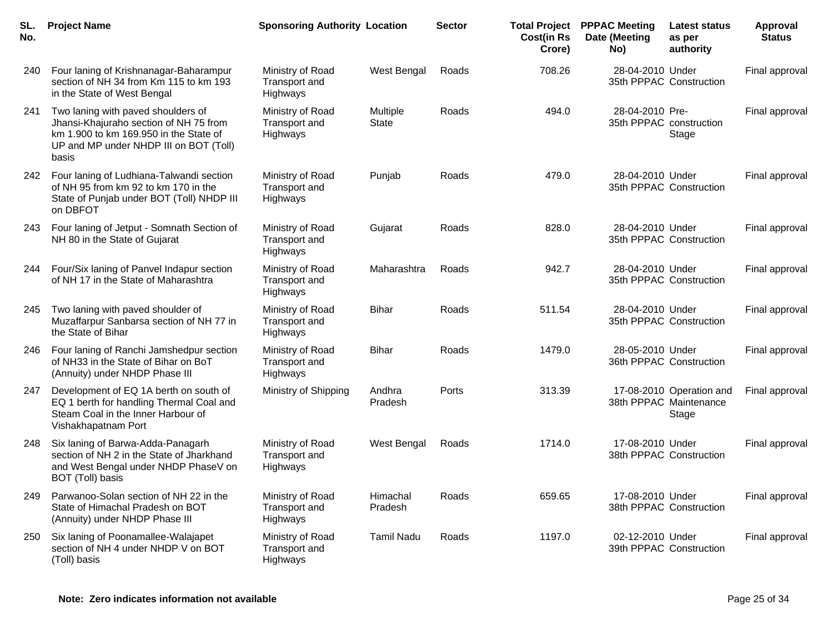| SL.<br>No. | <b>Project Name</b>                                                                                                                                                       | <b>Sponsoring Authority Location</b>                 |                          | <b>Sector</b> | <b>Total Project</b><br><b>Cost(in Rs</b><br>Crore) | <b>PPPAC Meeting</b><br>Date (Meeting<br>No) | Latest status<br>as per<br>authority                        | Approval<br><b>Status</b> |
|------------|---------------------------------------------------------------------------------------------------------------------------------------------------------------------------|------------------------------------------------------|--------------------------|---------------|-----------------------------------------------------|----------------------------------------------|-------------------------------------------------------------|---------------------------|
| 240        | Four laning of Krishnanagar-Baharampur<br>section of NH 34 from Km 115 to km 193<br>in the State of West Bengal                                                           | Ministry of Road<br>Transport and<br>Highways        | West Bengal              | Roads         | 708.26                                              | 28-04-2010 Under                             | 35th PPPAC Construction                                     | Final approval            |
| 241        | Two laning with paved shoulders of<br>Jhansi-Khajuraho section of NH 75 from<br>km 1.900 to km 169.950 in the State of<br>UP and MP under NHDP III on BOT (Toll)<br>basis | Ministry of Road<br>Transport and<br>Highways        | Multiple<br><b>State</b> | Roads         | 494.0                                               | 28-04-2010 Pre-                              | 35th PPPAC construction<br>Stage                            | Final approval            |
| 242        | Four laning of Ludhiana-Talwandi section<br>of NH 95 from km 92 to km 170 in the<br>State of Punjab under BOT (Toll) NHDP III<br>on DBFOT                                 | Ministry of Road<br>Transport and<br>Highways        | Punjab                   | Roads         | 479.0                                               | 28-04-2010 Under                             | 35th PPPAC Construction                                     | Final approval            |
| 243        | Four laning of Jetput - Somnath Section of<br>NH 80 in the State of Gujarat                                                                                               | Ministry of Road<br>Transport and<br>Highways        | Gujarat                  | Roads         | 828.0                                               | 28-04-2010 Under                             | 35th PPPAC Construction                                     | Final approval            |
| 244        | Four/Six laning of Panvel Indapur section<br>of NH 17 in the State of Maharashtra                                                                                         | Ministry of Road<br>Transport and<br>Highways        | Maharashtra              | Roads         | 942.7                                               | 28-04-2010 Under                             | 35th PPPAC Construction                                     | Final approval            |
| 245        | Two laning with paved shoulder of<br>Muzaffarpur Sanbarsa section of NH 77 in<br>the State of Bihar                                                                       | Ministry of Road<br>Transport and<br><b>Highways</b> | <b>Bihar</b>             | Roads         | 511.54                                              | 28-04-2010 Under                             | 35th PPPAC Construction                                     | Final approval            |
| 246        | Four laning of Ranchi Jamshedpur section<br>of NH33 in the State of Bihar on BoT<br>(Annuity) under NHDP Phase III                                                        | Ministry of Road<br>Transport and<br>Highways        | <b>Bihar</b>             | Roads         | 1479.0                                              | 28-05-2010 Under                             | 36th PPPAC Construction                                     | Final approval            |
| 247        | Development of EQ 1A berth on south of<br>EQ 1 berth for handling Thermal Coal and<br>Steam Coal in the Inner Harbour of<br>Vishakhapatnam Port                           | Ministry of Shipping                                 | Andhra<br>Pradesh        | Ports         | 313.39                                              |                                              | 17-08-2010 Operation and<br>38th PPPAC Maintenance<br>Stage | Final approval            |
| 248        | Six laning of Barwa-Adda-Panagarh<br>section of NH 2 in the State of Jharkhand<br>and West Bengal under NHDP PhaseV on<br>BOT (Toll) basis                                | Ministry of Road<br>Transport and<br>Highways        | West Bengal              | Roads         | 1714.0                                              | 17-08-2010 Under                             | 38th PPPAC Construction                                     | Final approval            |
| 249        | Parwanoo-Solan section of NH 22 in the<br>State of Himachal Pradesh on BOT<br>(Annuity) under NHDP Phase III                                                              | Ministry of Road<br>Transport and<br>Highways        | Himachal<br>Pradesh      | Roads         | 659.65                                              | 17-08-2010 Under                             | 38th PPPAC Construction                                     | Final approval            |
| 250        | Six laning of Poonamallee-Walajapet<br>section of NH 4 under NHDP V on BOT<br>(Toll) basis                                                                                | Ministry of Road<br>Transport and<br>Highways        | <b>Tamil Nadu</b>        | Roads         | 1197.0                                              | 02-12-2010 Under                             | 39th PPPAC Construction                                     | Final approval            |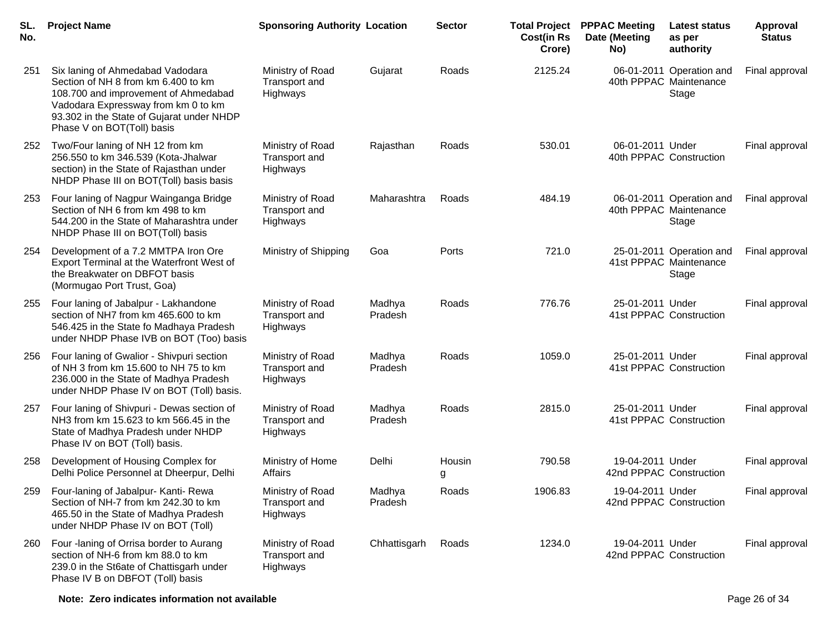| SL.<br>No. | <b>Project Name</b>                                                                                                                                                                                                               | <b>Sponsoring Authority Location</b>          |                   | <b>Sector</b> | <b>Total Project</b><br><b>Cost(in Rs</b><br>Crore) | <b>PPPAC Meeting</b><br>Date (Meeting<br>No) | <b>Latest status</b><br>as per<br>authority                 | <b>Approval</b><br><b>Status</b> |
|------------|-----------------------------------------------------------------------------------------------------------------------------------------------------------------------------------------------------------------------------------|-----------------------------------------------|-------------------|---------------|-----------------------------------------------------|----------------------------------------------|-------------------------------------------------------------|----------------------------------|
| 251        | Six laning of Ahmedabad Vadodara<br>Section of NH 8 from km 6.400 to km<br>108.700 and improvement of Ahmedabad<br>Vadodara Expressway from km 0 to km<br>93.302 in the State of Gujarat under NHDP<br>Phase V on BOT(Toll) basis | Ministry of Road<br>Transport and<br>Highways | Gujarat           | Roads         | 2125.24                                             |                                              | 06-01-2011 Operation and<br>40th PPPAC Maintenance<br>Stage | Final approval                   |
| 252        | Two/Four laning of NH 12 from km<br>256.550 to km 346.539 (Kota-Jhalwar<br>section) in the State of Rajasthan under<br>NHDP Phase III on BOT(Toll) basis basis                                                                    | Ministry of Road<br>Transport and<br>Highways | Rajasthan         | Roads         | 530.01                                              | 06-01-2011 Under                             | 40th PPPAC Construction                                     | Final approval                   |
| 253        | Four laning of Nagpur Wainganga Bridge<br>Section of NH 6 from km 498 to km<br>544.200 in the State of Maharashtra under<br>NHDP Phase III on BOT(Toll) basis                                                                     | Ministry of Road<br>Transport and<br>Highways | Maharashtra       | Roads         | 484.19                                              |                                              | 06-01-2011 Operation and<br>40th PPPAC Maintenance<br>Stage | Final approval                   |
| 254        | Development of a 7.2 MMTPA Iron Ore<br>Export Terminal at the Waterfront West of<br>the Breakwater on DBFOT basis<br>(Mormugao Port Trust, Goa)                                                                                   | Ministry of Shipping                          | Goa               | Ports         | 721.0                                               |                                              | 25-01-2011 Operation and<br>41st PPPAC Maintenance<br>Stage | Final approval                   |
| 255        | Four laning of Jabalpur - Lakhandone<br>section of NH7 from km 465.600 to km<br>546.425 in the State fo Madhaya Pradesh<br>under NHDP Phase IVB on BOT (Too) basis                                                                | Ministry of Road<br>Transport and<br>Highways | Madhya<br>Pradesh | Roads         | 776.76                                              | 25-01-2011 Under                             | 41st PPPAC Construction                                     | Final approval                   |
| 256        | Four laning of Gwalior - Shivpuri section<br>of NH 3 from km 15.600 to NH 75 to km<br>236.000 in the State of Madhya Pradesh<br>under NHDP Phase IV on BOT (Toll) basis.                                                          | Ministry of Road<br>Transport and<br>Highways | Madhya<br>Pradesh | Roads         | 1059.0                                              | 25-01-2011 Under                             | 41st PPPAC Construction                                     | Final approval                   |
| 257        | Four laning of Shivpuri - Dewas section of<br>NH3 from km 15.623 to km 566.45 in the<br>State of Madhya Pradesh under NHDP<br>Phase IV on BOT (Toll) basis.                                                                       | Ministry of Road<br>Transport and<br>Highways | Madhya<br>Pradesh | Roads         | 2815.0                                              | 25-01-2011 Under                             | 41st PPPAC Construction                                     | Final approval                   |
| 258        | Development of Housing Complex for<br>Delhi Police Personnel at Dheerpur, Delhi                                                                                                                                                   | Ministry of Home<br>Affairs                   | Delhi             | Housin<br>g   | 790.58                                              | 19-04-2011 Under<br>42nd PPPAC Construction  |                                                             | Final approval                   |
| 259        | Four-laning of Jabalpur- Kanti- Rewa<br>Section of NH-7 from km 242.30 to km<br>465.50 in the State of Madhya Pradesh<br>under NHDP Phase IV on BOT (Toll)                                                                        | Ministry of Road<br>Transport and<br>Highways | Madhya<br>Pradesh | Roads         | 1906.83                                             | 19-04-2011 Under<br>42nd PPPAC Construction  |                                                             | Final approval                   |
| 260        | Four -laning of Orrisa border to Aurang<br>section of NH-6 from km 88.0 to km<br>239.0 in the St6ate of Chattisgarh under<br>Phase IV B on DBFOT (Toll) basis                                                                     | Ministry of Road<br>Transport and<br>Highways | Chhattisgarh      | Roads         | 1234.0                                              | 19-04-2011 Under<br>42nd PPPAC Construction  |                                                             | Final approval                   |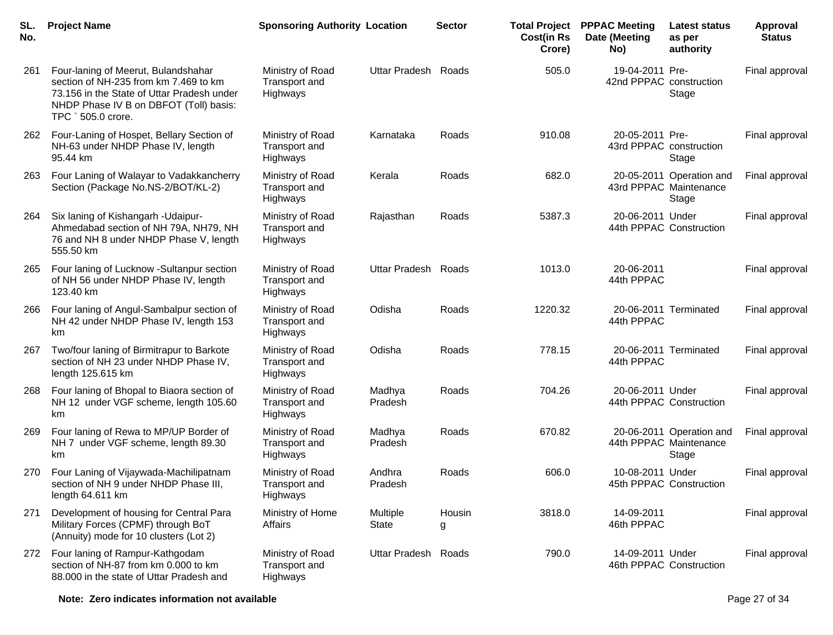| SL.<br>No. | <b>Project Name</b>                                                                                                                                                                        | <b>Sponsoring Authority Location</b>          |                     | <b>Sector</b> | <b>Total Project</b><br><b>Cost(in Rs</b><br>Crore) | <b>PPPAC Meeting</b><br>Date (Meeting<br>No) | <b>Latest status</b><br>as per<br>authority                 | Approval<br><b>Status</b> |
|------------|--------------------------------------------------------------------------------------------------------------------------------------------------------------------------------------------|-----------------------------------------------|---------------------|---------------|-----------------------------------------------------|----------------------------------------------|-------------------------------------------------------------|---------------------------|
| 261        | Four-laning of Meerut, Bulandshahar<br>section of NH-235 from km 7.469 to km<br>73.156 in the State of Uttar Pradesh under<br>NHDP Phase IV B on DBFOT (Toll) basis:<br>TPC ` 505.0 crore. | Ministry of Road<br>Transport and<br>Highways | Uttar Pradesh Roads |               | 505.0                                               | 19-04-2011 Pre-<br>42nd PPPAC construction   | Stage                                                       | Final approval            |
| 262        | Four-Laning of Hospet, Bellary Section of<br>NH-63 under NHDP Phase IV, length<br>95.44 km                                                                                                 | Ministry of Road<br>Transport and<br>Highways | Karnataka           | Roads         | 910.08                                              | 20-05-2011 Pre-<br>43rd PPPAC construction   | Stage                                                       | Final approval            |
| 263        | Four Laning of Walayar to Vadakkancherry<br>Section (Package No.NS-2/BOT/KL-2)                                                                                                             | Ministry of Road<br>Transport and<br>Highways | Kerala              | Roads         | 682.0                                               |                                              | 20-05-2011 Operation and<br>43rd PPPAC Maintenance<br>Stage | Final approval            |
| 264        | Six laning of Kishangarh - Udaipur-<br>Ahmedabad section of NH 79A, NH79, NH<br>76 and NH 8 under NHDP Phase V, length<br>555.50 km                                                        | Ministry of Road<br>Transport and<br>Highways | Rajasthan           | Roads         | 5387.3                                              | 20-06-2011 Under                             | 44th PPPAC Construction                                     | Final approval            |
| 265        | Four laning of Lucknow -Sultanpur section<br>of NH 56 under NHDP Phase IV, length<br>123.40 km                                                                                             | Ministry of Road<br>Transport and<br>Highways | Uttar Pradesh Roads |               | 1013.0                                              | 20-06-2011<br>44th PPPAC                     |                                                             | Final approval            |
| 266        | Four laning of Angul-Sambalpur section of<br>NH 42 under NHDP Phase IV, length 153<br>km                                                                                                   | Ministry of Road<br>Transport and<br>Highways | Odisha              | Roads         | 1220.32                                             | 44th PPPAC                                   | 20-06-2011 Terminated                                       | Final approval            |
| 267        | Two/four laning of Birmitrapur to Barkote<br>section of NH 23 under NHDP Phase IV,<br>length 125.615 km                                                                                    | Ministry of Road<br>Transport and<br>Highways | Odisha              | Roads         | 778.15                                              | 44th PPPAC                                   | 20-06-2011 Terminated                                       | Final approval            |
| 268        | Four laning of Bhopal to Biaora section of<br>NH 12 under VGF scheme, length 105.60<br>km                                                                                                  | Ministry of Road<br>Transport and<br>Highways | Madhya<br>Pradesh   | Roads         | 704.26                                              | 20-06-2011 Under                             | 44th PPPAC Construction                                     | Final approval            |
| 269        | Four laning of Rewa to MP/UP Border of<br>NH 7 under VGF scheme, length 89.30<br>km                                                                                                        | Ministry of Road<br>Transport and<br>Highways | Madhya<br>Pradesh   | Roads         | 670.82                                              |                                              | 20-06-2011 Operation and<br>44th PPPAC Maintenance<br>Stage | Final approval            |
| 270        | Four Laning of Vijaywada-Machilipatnam<br>section of NH 9 under NHDP Phase III,<br>length 64.611 km                                                                                        | Ministry of Road<br>Transport and<br>Highways | Andhra<br>Pradesh   | Roads         | 606.0                                               | 10-08-2011 Under                             | 45th PPPAC Construction                                     | Final approval            |
| 271        | Development of housing for Central Para<br>Military Forces (CPMF) through BoT<br>(Annuity) mode for 10 clusters (Lot 2)                                                                    | Ministry of Home<br>Affairs                   | Multiple<br>State   | Housin<br>g   | 3818.0                                              | 14-09-2011<br>46th PPPAC                     |                                                             | Final approval            |
| 272        | Four laning of Rampur-Kathgodam<br>section of NH-87 from km 0.000 to km<br>88.000 in the state of Uttar Pradesh and                                                                        | Ministry of Road<br>Transport and<br>Highways | Uttar Pradesh Roads |               | 790.0                                               | 14-09-2011 Under                             | 46th PPPAC Construction                                     | Final approval            |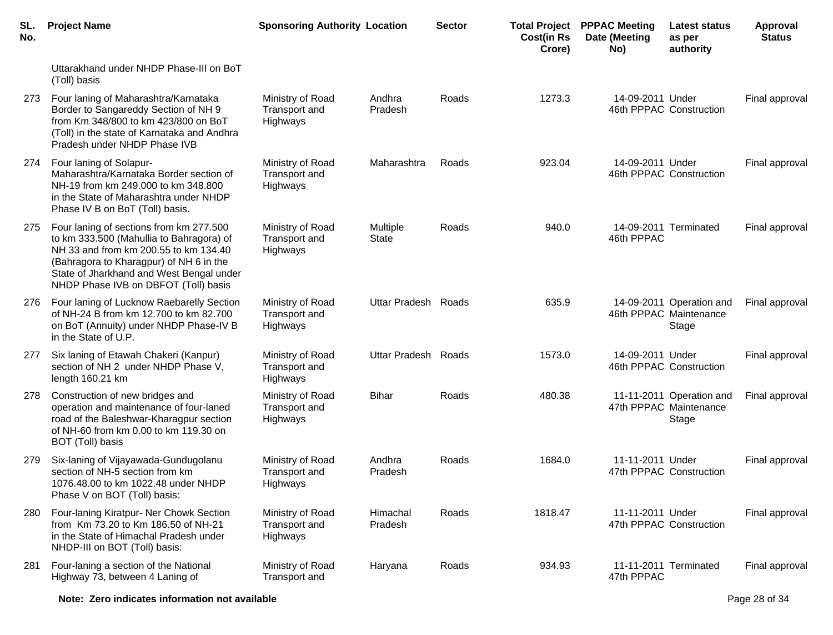| SL.<br>No. | <b>Project Name</b>                                                                                                                                                                                                                                         | <b>Sponsoring Authority Location</b>          |                          | <b>Sector</b> | <b>Cost(in Rs</b><br>Crore) | <b>Total Project PPPAC Meeting</b><br>Date (Meeting<br>No) | <b>Latest status</b><br>as per<br>authority                 | Approval<br><b>Status</b> |
|------------|-------------------------------------------------------------------------------------------------------------------------------------------------------------------------------------------------------------------------------------------------------------|-----------------------------------------------|--------------------------|---------------|-----------------------------|------------------------------------------------------------|-------------------------------------------------------------|---------------------------|
|            | Uttarakhand under NHDP Phase-III on BoT<br>(Toll) basis                                                                                                                                                                                                     |                                               |                          |               |                             |                                                            |                                                             |                           |
| 273        | Four laning of Maharashtra/Karnataka<br>Border to Sangareddy Section of NH 9<br>from Km 348/800 to km 423/800 on BoT<br>(Toll) in the state of Karnataka and Andhra<br>Pradesh under NHDP Phase IVB                                                         | Ministry of Road<br>Transport and<br>Highways | Andhra<br>Pradesh        | Roads         | 1273.3                      | 14-09-2011 Under                                           | 46th PPPAC Construction                                     | Final approval            |
| 274        | Four laning of Solapur-<br>Maharashtra/Karnataka Border section of<br>NH-19 from km 249.000 to km 348.800<br>in the State of Maharashtra under NHDP<br>Phase IV B on BoT (Toll) basis.                                                                      | Ministry of Road<br>Transport and<br>Highways | Maharashtra              | Roads         | 923.04                      | 14-09-2011 Under                                           | 46th PPPAC Construction                                     | Final approval            |
| 275        | Four laning of sections from km 277.500<br>to km 333.500 (Mahullia to Bahragora) of<br>NH 33 and from km 200.55 to km 134.40<br>(Bahragora to Kharagpur) of NH 6 in the<br>State of Jharkhand and West Bengal under<br>NHDP Phase IVB on DBFOT (Toll) basis | Ministry of Road<br>Transport and<br>Highways | Multiple<br><b>State</b> | Roads         | 940.0                       | 46th PPPAC                                                 | 14-09-2011 Terminated                                       | Final approval            |
| 276        | Four laning of Lucknow Raebarelly Section<br>of NH-24 B from km 12.700 to km 82.700<br>on BoT (Annuity) under NHDP Phase-IV B<br>in the State of U.P.                                                                                                       | Ministry of Road<br>Transport and<br>Highways | Uttar Pradesh Roads      |               | 635.9                       |                                                            | 14-09-2011 Operation and<br>46th PPPAC Maintenance<br>Stage | Final approval            |
| 277        | Six laning of Etawah Chakeri (Kanpur)<br>section of NH 2 under NHDP Phase V,<br>length 160.21 km                                                                                                                                                            | Ministry of Road<br>Transport and<br>Highways | Uttar Pradesh Roads      |               | 1573.0                      | 14-09-2011 Under                                           | 46th PPPAC Construction                                     | Final approval            |
| 278        | Construction of new bridges and<br>operation and maintenance of four-laned<br>road of the Baleshwar-Kharagpur section<br>of NH-60 from km 0.00 to km 119.30 on<br>BOT (Toll) basis                                                                          | Ministry of Road<br>Transport and<br>Highways | <b>Bihar</b>             | Roads         | 480.38                      |                                                            | 11-11-2011 Operation and<br>47th PPPAC Maintenance<br>Stage | Final approval            |
| 279.       | Six-laning of Vijayawada-Gundugolanu<br>section of NH-5 section from km<br>1076.48.00 to km 1022.48 under NHDP<br>Phase V on BOT (Toll) basis:                                                                                                              | Ministry of Road<br>Transport and<br>Highways | Andhra<br>Pradesh        | Roads         | 1684.0                      | 11-11-2011 Under                                           | 47th PPPAC Construction                                     | Final approval            |
| 280        | Four-laning Kiratpur- Ner Chowk Section<br>from Km 73.20 to Km 186.50 of NH-21<br>in the State of Himachal Pradesh under<br>NHDP-III on BOT (Toll) basis:                                                                                                   | Ministry of Road<br>Transport and<br>Highways | Himachal<br>Pradesh      | Roads         | 1818.47                     | 11-11-2011 Under                                           | 47th PPPAC Construction                                     | Final approval            |
| 281        | Four-laning a section of the National<br>Highway 73, between 4 Laning of                                                                                                                                                                                    | Ministry of Road<br>Transport and             | Haryana                  | Roads         | 934.93                      | 47th PPPAC                                                 | 11-11-2011 Terminated                                       | Final approval            |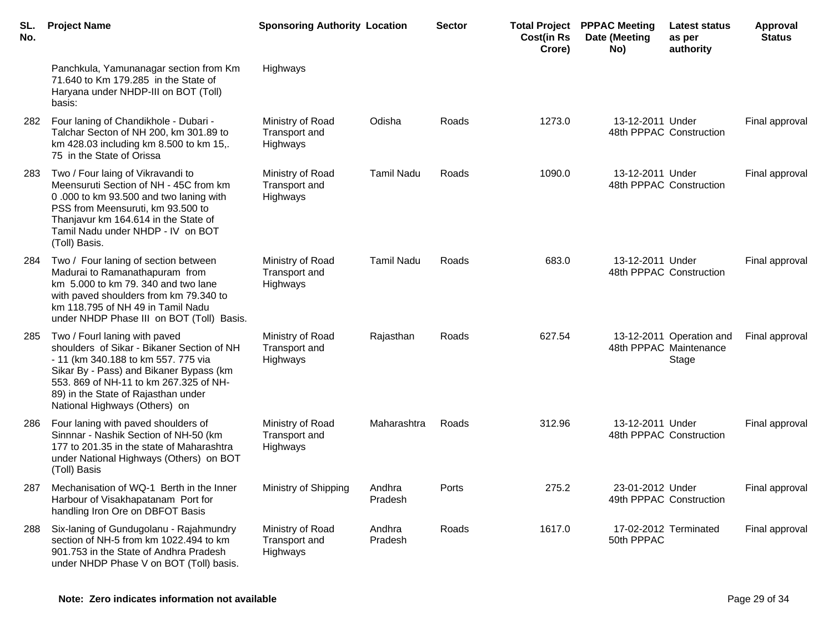| SL.<br>No. | <b>Project Name</b>                                                                                                                                                                                                                                                             | <b>Sponsoring Authority Location</b>                 |                   | <b>Sector</b> | <b>Cost(in Rs</b><br>Crore) | <b>Total Project PPPAC Meeting</b><br>Date (Meeting<br>No) | Latest status<br>as per<br>authority                        | <b>Approval</b><br><b>Status</b> |
|------------|---------------------------------------------------------------------------------------------------------------------------------------------------------------------------------------------------------------------------------------------------------------------------------|------------------------------------------------------|-------------------|---------------|-----------------------------|------------------------------------------------------------|-------------------------------------------------------------|----------------------------------|
|            | Panchkula, Yamunanagar section from Km<br>71.640 to Km 179.285 in the State of<br>Haryana under NHDP-III on BOT (Toll)<br>basis:                                                                                                                                                | Highways                                             |                   |               |                             |                                                            |                                                             |                                  |
| 282        | Four laning of Chandikhole - Dubari -<br>Talchar Secton of NH 200, km 301.89 to<br>km 428.03 including km 8.500 to km 15,.<br>75 in the State of Orissa                                                                                                                         | Ministry of Road<br>Transport and<br>Highways        | Odisha            | Roads         | 1273.0                      | 13-12-2011 Under                                           | 48th PPPAC Construction                                     | Final approval                   |
| 283        | Two / Four laing of Vikravandi to<br>Meensuruti Section of NH - 45C from km<br>0.000 to km 93.500 and two laning with<br>PSS from Meensuruti, km 93.500 to<br>Thanjavur km 164.614 in the State of<br>Tamil Nadu under NHDP - IV on BOT<br>(Toll) Basis.                        | Ministry of Road<br>Transport and<br>Highways        | <b>Tamil Nadu</b> | Roads         | 1090.0                      | 13-12-2011 Under                                           | 48th PPPAC Construction                                     | Final approval                   |
| 284        | Two / Four laning of section between<br>Madurai to Ramanathapuram from<br>km 5.000 to km 79.340 and two lane<br>with paved shoulders from km 79.340 to<br>km 118.795 of NH 49 in Tamil Nadu<br>under NHDP Phase III on BOT (Toll) Basis.                                        | Ministry of Road<br>Transport and<br><b>Highways</b> | <b>Tamil Nadu</b> | Roads         | 683.0                       | 13-12-2011 Under                                           | 48th PPPAC Construction                                     | Final approval                   |
| 285        | Two / Fourl laning with paved<br>shoulders of Sikar - Bikaner Section of NH<br>- 11 (km 340.188 to km 557. 775 via<br>Sikar By - Pass) and Bikaner Bypass (km<br>553. 869 of NH-11 to km 267.325 of NH-<br>89) in the State of Rajasthan under<br>National Highways (Others) on | Ministry of Road<br>Transport and<br>Highways        | Rajasthan         | Roads         | 627.54                      |                                                            | 13-12-2011 Operation and<br>48th PPPAC Maintenance<br>Stage | Final approval                   |
| 286        | Four laning with paved shoulders of<br>Sinnnar - Nashik Section of NH-50 (km<br>177 to 201.35 in the state of Maharashtra<br>under National Highways (Others) on BOT<br>(Toll) Basis                                                                                            | Ministry of Road<br>Transport and<br>Highways        | Maharashtra       | Roads         | 312.96                      | 13-12-2011 Under                                           | 48th PPPAC Construction                                     | Final approval                   |
| 287        | Mechanisation of WQ-1 Berth in the Inner<br>Harbour of Visakhapatanam Port for<br>handling Iron Ore on DBFOT Basis                                                                                                                                                              | Ministry of Shipping                                 | Andhra<br>Pradesh | Ports         | 275.2                       | 23-01-2012 Under                                           | 49th PPPAC Construction                                     | Final approval                   |
| 288        | Six-laning of Gundugolanu - Rajahmundry<br>section of NH-5 from km 1022.494 to km<br>901.753 in the State of Andhra Pradesh<br>under NHDP Phase V on BOT (Toll) basis.                                                                                                          | Ministry of Road<br>Transport and<br>Highways        | Andhra<br>Pradesh | Roads         | 1617.0                      | 50th PPPAC                                                 | 17-02-2012 Terminated                                       | Final approval                   |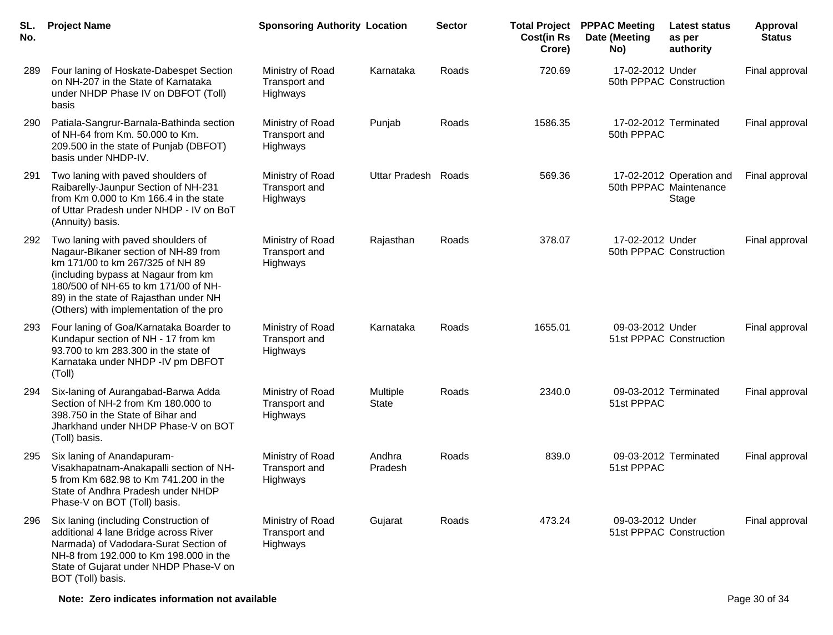| SL.<br>No. | <b>Project Name</b>                                                                                                                                                                                                                                                                | <b>Sponsoring Authority Location</b>          |                          | <b>Sector</b> | <b>Total Project</b><br><b>Cost(in Rs</b><br>Crore) | <b>PPPAC Meeting</b><br>Date (Meeting<br>No) | Latest status<br>as per<br>authority                        | Approval<br><b>Status</b> |
|------------|------------------------------------------------------------------------------------------------------------------------------------------------------------------------------------------------------------------------------------------------------------------------------------|-----------------------------------------------|--------------------------|---------------|-----------------------------------------------------|----------------------------------------------|-------------------------------------------------------------|---------------------------|
| 289        | Four laning of Hoskate-Dabespet Section<br>on NH-207 in the State of Karnataka<br>under NHDP Phase IV on DBFOT (Toll)<br>basis                                                                                                                                                     | Ministry of Road<br>Transport and<br>Highways | Karnataka                | Roads         | 720.69                                              | 17-02-2012 Under                             | 50th PPPAC Construction                                     | Final approval            |
| 290        | Patiala-Sangrur-Barnala-Bathinda section<br>of NH-64 from Km. 50.000 to Km.<br>209.500 in the state of Punjab (DBFOT)<br>basis under NHDP-IV.                                                                                                                                      | Ministry of Road<br>Transport and<br>Highways | Punjab                   | Roads         | 1586.35                                             | 50th PPPAC                                   | 17-02-2012 Terminated                                       | Final approval            |
| 291        | Two laning with paved shoulders of<br>Raibarelly-Jaunpur Section of NH-231<br>from Km 0.000 to Km 166.4 in the state<br>of Uttar Pradesh under NHDP - IV on BoT<br>(Annuity) basis.                                                                                                | Ministry of Road<br>Transport and<br>Highways | Uttar Pradesh            | Roads         | 569.36                                              |                                              | 17-02-2012 Operation and<br>50th PPPAC Maintenance<br>Stage | Final approval            |
| 292        | Two laning with paved shoulders of<br>Nagaur-Bikaner section of NH-89 from<br>km 171/00 to km 267/325 of NH 89<br>(including bypass at Nagaur from km<br>180/500 of NH-65 to km 171/00 of NH-<br>89) in the state of Rajasthan under NH<br>(Others) with implementation of the pro | Ministry of Road<br>Transport and<br>Highways | Rajasthan                | Roads         | 378.07                                              | 17-02-2012 Under                             | 50th PPPAC Construction                                     | Final approval            |
| 293        | Four laning of Goa/Karnataka Boarder to<br>Kundapur section of NH - 17 from km<br>93.700 to km 283.300 in the state of<br>Karnataka under NHDP - IV pm DBFOT<br>(Toll)                                                                                                             | Ministry of Road<br>Transport and<br>Highways | Karnataka                | Roads         | 1655.01                                             | 09-03-2012 Under                             | 51st PPPAC Construction                                     | Final approval            |
| 294        | Six-laning of Aurangabad-Barwa Adda<br>Section of NH-2 from Km 180.000 to<br>398.750 in the State of Bihar and<br>Jharkhand under NHDP Phase-V on BOT<br>(Toll) basis.                                                                                                             | Ministry of Road<br>Transport and<br>Highways | Multiple<br><b>State</b> | Roads         | 2340.0                                              | 51st PPPAC                                   | 09-03-2012 Terminated                                       | Final approval            |
| 295        | Six laning of Anandapuram-<br>Visakhapatnam-Anakapalli section of NH-<br>5 from Km 682.98 to Km 741.200 in the<br>State of Andhra Pradesh under NHDP<br>Phase-V on BOT (Toll) basis.                                                                                               | Ministry of Road<br>Transport and<br>Highways | Andhra<br>Pradesh        | Roads         | 839.0                                               | 51st PPPAC                                   | 09-03-2012 Terminated                                       | Final approval            |
| 296        | Six laning (including Construction of<br>additional 4 lane Bridge across River<br>Narmada) of Vadodara-Surat Section of<br>NH-8 from 192.000 to Km 198.000 in the<br>State of Gujarat under NHDP Phase-V on<br>BOT (Toll) basis.                                                   | Ministry of Road<br>Transport and<br>Highways | Gujarat                  | Roads         | 473.24                                              | 09-03-2012 Under                             | 51st PPPAC Construction                                     | Final approval            |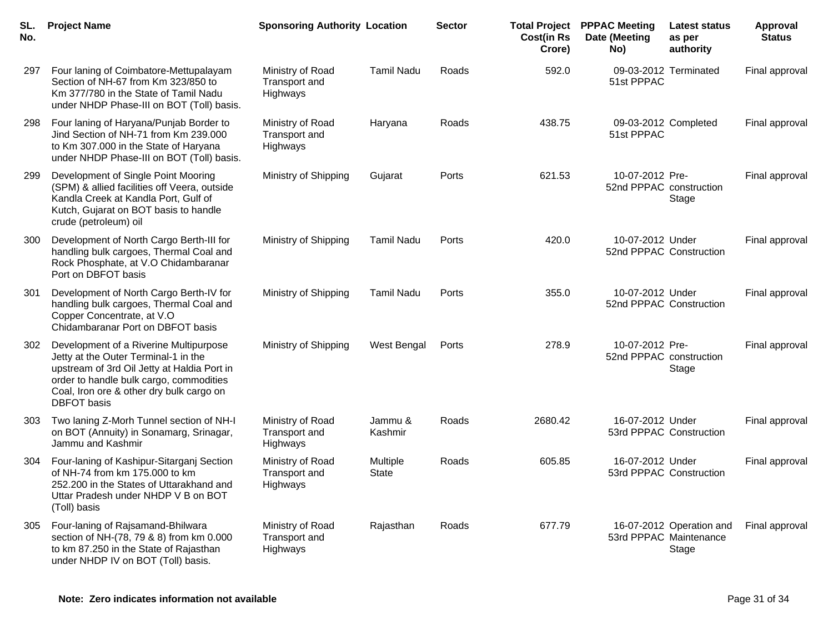| SL.<br>No. | <b>Project Name</b>                                                                                                                                                                                                                        | <b>Sponsoring Authority Location</b>          |                          | <b>Sector</b> | <b>Cost(in Rs</b><br>Crore) | <b>Total Project PPPAC Meeting</b><br>Date (Meeting<br>No) | <b>Latest status</b><br>as per<br>authority                 | <b>Approval</b><br><b>Status</b> |
|------------|--------------------------------------------------------------------------------------------------------------------------------------------------------------------------------------------------------------------------------------------|-----------------------------------------------|--------------------------|---------------|-----------------------------|------------------------------------------------------------|-------------------------------------------------------------|----------------------------------|
| 297        | Four laning of Coimbatore-Mettupalayam<br>Section of NH-67 from Km 323/850 to<br>Km 377/780 in the State of Tamil Nadu<br>under NHDP Phase-III on BOT (Toll) basis.                                                                        | Ministry of Road<br>Transport and<br>Highways | <b>Tamil Nadu</b>        | Roads         | 592.0                       | 09-03-2012 Terminated<br>51st PPPAC                        |                                                             | Final approval                   |
| 298        | Four laning of Haryana/Punjab Border to<br>Jind Section of NH-71 from Km 239.000<br>to Km 307.000 in the State of Haryana<br>under NHDP Phase-III on BOT (Toll) basis.                                                                     | Ministry of Road<br>Transport and<br>Highways | Haryana                  | Roads         | 438.75                      | 09-03-2012 Completed<br>51st PPPAC                         |                                                             | Final approval                   |
| 299        | Development of Single Point Mooring<br>(SPM) & allied facilities off Veera, outside<br>Kandla Creek at Kandla Port, Gulf of<br>Kutch, Gujarat on BOT basis to handle<br>crude (petroleum) oil                                              | Ministry of Shipping                          | Gujarat                  | Ports         | 621.53                      | 10-07-2012 Pre-<br>52nd PPPAC construction                 | Stage                                                       | Final approval                   |
| 300        | Development of North Cargo Berth-III for<br>handling bulk cargoes, Thermal Coal and<br>Rock Phosphate, at V.O Chidambaranar<br>Port on DBFOT basis                                                                                         | Ministry of Shipping                          | <b>Tamil Nadu</b>        | Ports         | 420.0                       | 10-07-2012 Under<br>52nd PPPAC Construction                |                                                             | Final approval                   |
| 301        | Development of North Cargo Berth-IV for<br>handling bulk cargoes, Thermal Coal and<br>Copper Concentrate, at V.O<br>Chidambaranar Port on DBFOT basis                                                                                      | Ministry of Shipping                          | <b>Tamil Nadu</b>        | Ports         | 355.0                       | 10-07-2012 Under<br>52nd PPPAC Construction                |                                                             | Final approval                   |
| 302        | Development of a Riverine Multipurpose<br>Jetty at the Outer Terminal-1 in the<br>upstream of 3rd Oil Jetty at Haldia Port in<br>order to handle bulk cargo, commodities<br>Coal, Iron ore & other dry bulk cargo on<br><b>DBFOT</b> basis | Ministry of Shipping                          | West Bengal              | Ports         | 278.9                       | 10-07-2012 Pre-<br>52nd PPPAC construction                 | Stage                                                       | Final approval                   |
| 303        | Two laning Z-Morh Tunnel section of NH-I<br>on BOT (Annuity) in Sonamarg, Srinagar,<br>Jammu and Kashmir                                                                                                                                   | Ministry of Road<br>Transport and<br>Highways | Jammu &<br>Kashmir       | Roads         | 2680.42                     | 16-07-2012 Under<br>53rd PPPAC Construction                |                                                             | Final approval                   |
| 304        | Four-laning of Kashipur-Sitarganj Section<br>of NH-74 from km 175.000 to km<br>252.200 in the States of Uttarakhand and<br>Uttar Pradesh under NHDP V B on BOT<br>(Toll) basis                                                             | Ministry of Road<br>Transport and<br>Highways | Multiple<br><b>State</b> | Roads         | 605.85                      | 16-07-2012 Under<br>53rd PPPAC Construction                |                                                             | Final approval                   |
| 305        | Four-laning of Rajsamand-Bhilwara<br>section of NH-(78, 79 & 8) from km 0.000<br>to km 87.250 in the State of Rajasthan<br>under NHDP IV on BOT (Toll) basis.                                                                              | Ministry of Road<br>Transport and<br>Highways | Rajasthan                | Roads         | 677.79                      |                                                            | 16-07-2012 Operation and<br>53rd PPPAC Maintenance<br>Stage | Final approval                   |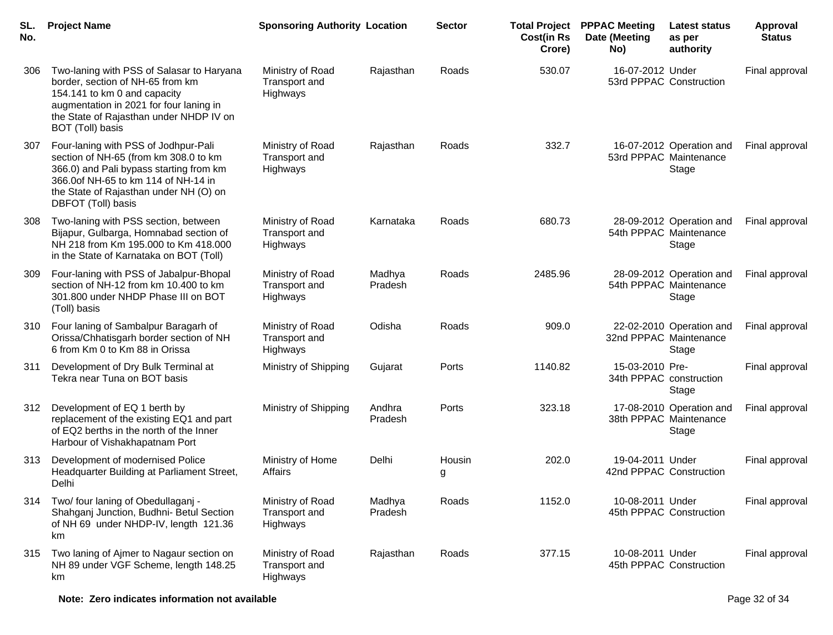| SL.<br>No. | <b>Project Name</b>                                                                                                                                                                                                             | <b>Sponsoring Authority Location</b>          |                   | <b>Sector</b> | <b>Cost(in Rs</b><br>Crore) | <b>Total Project PPPAC Meeting</b><br>Date (Meeting<br>No) | Latest status<br>as per<br>authority                        | Approval<br><b>Status</b> |
|------------|---------------------------------------------------------------------------------------------------------------------------------------------------------------------------------------------------------------------------------|-----------------------------------------------|-------------------|---------------|-----------------------------|------------------------------------------------------------|-------------------------------------------------------------|---------------------------|
| 306        | Two-laning with PSS of Salasar to Haryana<br>border, section of NH-65 from km<br>154.141 to km 0 and capacity<br>augmentation in 2021 for four laning in<br>the State of Rajasthan under NHDP IV on<br>BOT (Toll) basis         | Ministry of Road<br>Transport and<br>Highways | Rajasthan         | Roads         | 530.07                      | 16-07-2012 Under<br>53rd PPPAC Construction                |                                                             | Final approval            |
| 307        | Four-laning with PSS of Jodhpur-Pali<br>section of NH-65 (from km 308.0 to km<br>366.0) and Pali bypass starting from km<br>366.00f NH-65 to km 114 of NH-14 in<br>the State of Rajasthan under NH (O) on<br>DBFOT (Toll) basis | Ministry of Road<br>Transport and<br>Highways | Rajasthan         | Roads         | 332.7                       |                                                            | 16-07-2012 Operation and<br>53rd PPPAC Maintenance<br>Stage | Final approval            |
| 308        | Two-laning with PSS section, between<br>Bijapur, Gulbarga, Homnabad section of<br>NH 218 from Km 195.000 to Km 418.000<br>in the State of Karnataka on BOT (Toll)                                                               | Ministry of Road<br>Transport and<br>Highways | Karnataka         | Roads         | 680.73                      |                                                            | 28-09-2012 Operation and<br>54th PPPAC Maintenance<br>Stage | Final approval            |
| 309        | Four-laning with PSS of Jabalpur-Bhopal<br>section of NH-12 from km 10.400 to km<br>301.800 under NHDP Phase III on BOT<br>(Toll) basis                                                                                         | Ministry of Road<br>Transport and<br>Highways | Madhya<br>Pradesh | Roads         | 2485.96                     |                                                            | 28-09-2012 Operation and<br>54th PPPAC Maintenance<br>Stage | Final approval            |
| 310        | Four laning of Sambalpur Baragarh of<br>Orissa/Chhatisgarh border section of NH<br>6 from Km 0 to Km 88 in Orissa                                                                                                               | Ministry of Road<br>Transport and<br>Highways | Odisha            | Roads         | 909.0                       | 32nd PPPAC Maintenance                                     | 22-02-2010 Operation and<br>Stage                           | Final approval            |
| 311        | Development of Dry Bulk Terminal at<br>Tekra near Tuna on BOT basis                                                                                                                                                             | Ministry of Shipping                          | Gujarat           | Ports         | 1140.82                     | 15-03-2010 Pre-<br>34th PPPAC construction                 | Stage                                                       | Final approval            |
| 312        | Development of EQ 1 berth by<br>replacement of the existing EQ1 and part<br>of EQ2 berths in the north of the Inner<br>Harbour of Vishakhapatnam Port                                                                           | Ministry of Shipping                          | Andhra<br>Pradesh | Ports         | 323.18                      |                                                            | 17-08-2010 Operation and<br>38th PPPAC Maintenance<br>Stage | Final approval            |
| 313        | Development of modernised Police<br>Headquarter Building at Parliament Street,<br>Delhi                                                                                                                                         | Ministry of Home<br>Affairs                   | Delhi             | Housin<br>g   | 202.0                       | 19-04-2011 Under<br>42nd PPPAC Construction                |                                                             | Final approval            |
| 314        | Two/ four laning of Obedullaganj -<br>Shahganj Junction, Budhni- Betul Section<br>of NH 69 under NHDP-IV, length 121.36<br>km                                                                                                   | Ministry of Road<br>Transport and<br>Highways | Madhya<br>Pradesh | Roads         | 1152.0                      | 10-08-2011 Under                                           | 45th PPPAC Construction                                     | Final approval            |
| 315        | Two laning of Ajmer to Nagaur section on<br>NH 89 under VGF Scheme, length 148.25<br>km                                                                                                                                         | Ministry of Road<br>Transport and<br>Highways | Rajasthan         | Roads         | 377.15                      | 10-08-2011 Under                                           | 45th PPPAC Construction                                     | Final approval            |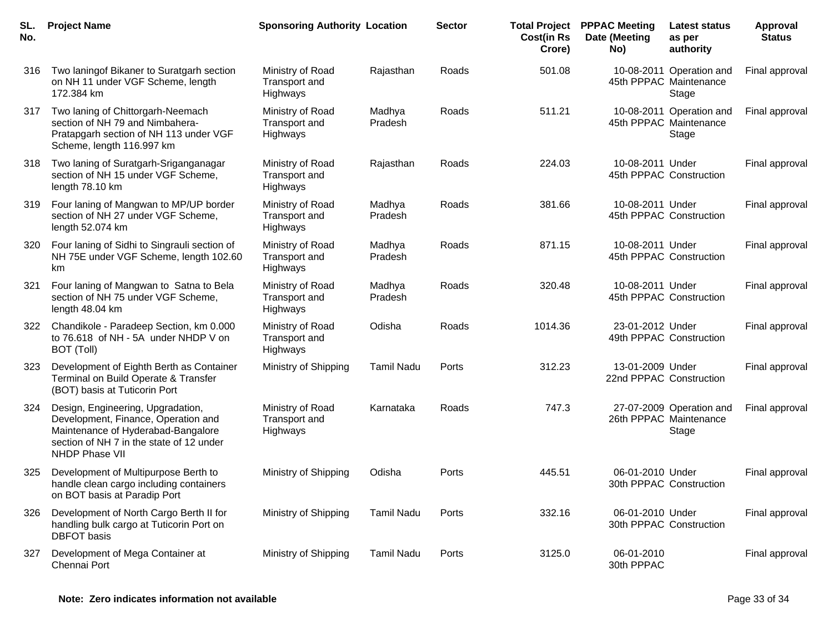| SL.<br>No. | <b>Project Name</b>                                                                                                                                                                 | <b>Sponsoring Authority Location</b>                        |                   | <b>Sector</b> | <b>Total Project</b><br><b>Cost(in Rs</b><br>Crore) | <b>PPPAC Meeting</b><br>Date (Meeting<br>No) | <b>Latest status</b><br>as per<br>authority                 | Approval<br><b>Status</b> |
|------------|-------------------------------------------------------------------------------------------------------------------------------------------------------------------------------------|-------------------------------------------------------------|-------------------|---------------|-----------------------------------------------------|----------------------------------------------|-------------------------------------------------------------|---------------------------|
| 316        | Two laningof Bikaner to Suratgarh section<br>on NH 11 under VGF Scheme, length<br>172.384 km                                                                                        | Ministry of Road<br><b>Transport and</b><br><b>Highways</b> | Rajasthan         | Roads         | 501.08                                              |                                              | 10-08-2011 Operation and<br>45th PPPAC Maintenance<br>Stage | Final approval            |
| 317        | Two laning of Chittorgarh-Neemach<br>section of NH 79 and Nimbahera-<br>Pratapgarh section of NH 113 under VGF<br>Scheme, length 116.997 km                                         | Ministry of Road<br>Transport and<br>Highways               | Madhya<br>Pradesh | Roads         | 511.21                                              |                                              | 10-08-2011 Operation and<br>45th PPPAC Maintenance<br>Stage | Final approval            |
| 318        | Two laning of Suratgarh-Sriganganagar<br>section of NH 15 under VGF Scheme,<br>length 78.10 km                                                                                      | Ministry of Road<br>Transport and<br>Highways               | Rajasthan         | Roads         | 224.03                                              | 10-08-2011 Under                             | 45th PPPAC Construction                                     | Final approval            |
| 319        | Four laning of Mangwan to MP/UP border<br>section of NH 27 under VGF Scheme,<br>length 52.074 km                                                                                    | Ministry of Road<br>Transport and<br>Highways               | Madhya<br>Pradesh | Roads         | 381.66                                              | 10-08-2011 Under                             | 45th PPPAC Construction                                     | Final approval            |
| 320        | Four laning of Sidhi to Singrauli section of<br>NH 75E under VGF Scheme, length 102.60<br>km                                                                                        | Ministry of Road<br>Transport and<br>Highways               | Madhya<br>Pradesh | Roads         | 871.15                                              | 10-08-2011 Under                             | 45th PPPAC Construction                                     | Final approval            |
| 321        | Four laning of Mangwan to Satna to Bela<br>section of NH 75 under VGF Scheme,<br>length 48.04 km                                                                                    | Ministry of Road<br>Transport and<br>Highways               | Madhya<br>Pradesh | Roads         | 320.48                                              | 10-08-2011 Under                             | 45th PPPAC Construction                                     | Final approval            |
| 322        | Chandikole - Paradeep Section, km 0.000<br>to 76.618 of NH - 5A under NHDP V on<br>BOT (Toll)                                                                                       | Ministry of Road<br>Transport and<br>Highways               | Odisha            | Roads         | 1014.36                                             | 23-01-2012 Under                             | 49th PPPAC Construction                                     | Final approval            |
| 323        | Development of Eighth Berth as Container<br>Terminal on Build Operate & Transfer<br>(BOT) basis at Tuticorin Port                                                                   | Ministry of Shipping                                        | <b>Tamil Nadu</b> | Ports         | 312.23                                              | 13-01-2009 Under                             | 22nd PPPAC Construction                                     | Final approval            |
| 324        | Design, Engineering, Upgradation,<br>Development, Finance, Operation and<br>Maintenance of Hyderabad-Bangalore<br>section of NH 7 in the state of 12 under<br><b>NHDP Phase VII</b> | Ministry of Road<br>Transport and<br>Highways               | Karnataka         | Roads         | 747.3                                               |                                              | 27-07-2009 Operation and<br>26th PPPAC Maintenance<br>Stage | Final approval            |
| 325        | Development of Multipurpose Berth to<br>handle clean cargo including containers<br>on BOT basis at Paradip Port                                                                     | Ministry of Shipping                                        | Odisha            | Ports         | 445.51                                              | 06-01-2010 Under                             | 30th PPPAC Construction                                     | Final approval            |
| 326        | Development of North Cargo Berth II for<br>handling bulk cargo at Tuticorin Port on<br><b>DBFOT</b> basis                                                                           | Ministry of Shipping                                        | <b>Tamil Nadu</b> | Ports         | 332.16                                              | 06-01-2010 Under                             | 30th PPPAC Construction                                     | Final approval            |
| 327        | Development of Mega Container at<br>Chennai Port                                                                                                                                    | Ministry of Shipping                                        | <b>Tamil Nadu</b> | Ports         | 3125.0                                              | 06-01-2010<br>30th PPPAC                     |                                                             | Final approval            |